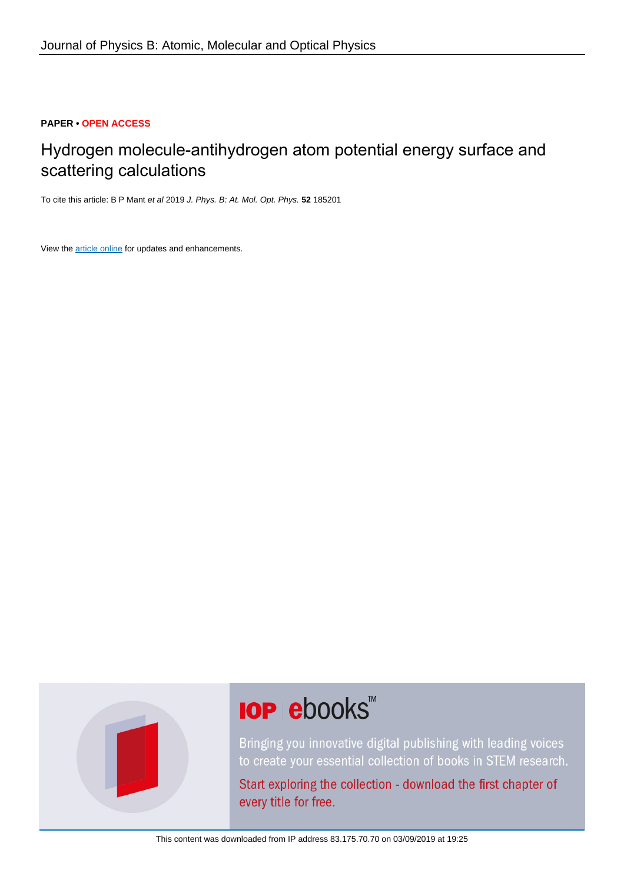### **PAPER • OPEN ACCESS**

## Hydrogen molecule-antihydrogen atom potential energy surface and scattering calculations

To cite this article: B P Mant et al 2019 J. Phys. B: At. Mol. Opt. Phys. **52** 185201

View the [article online](https://doi.org/10.1088/1361-6455/ab312e) for updates and enhancements.



# **IOP ebooks**™

Bringing you innovative digital publishing with leading voices to create your essential collection of books in STEM research.

Start exploring the collection - download the first chapter of every title for free.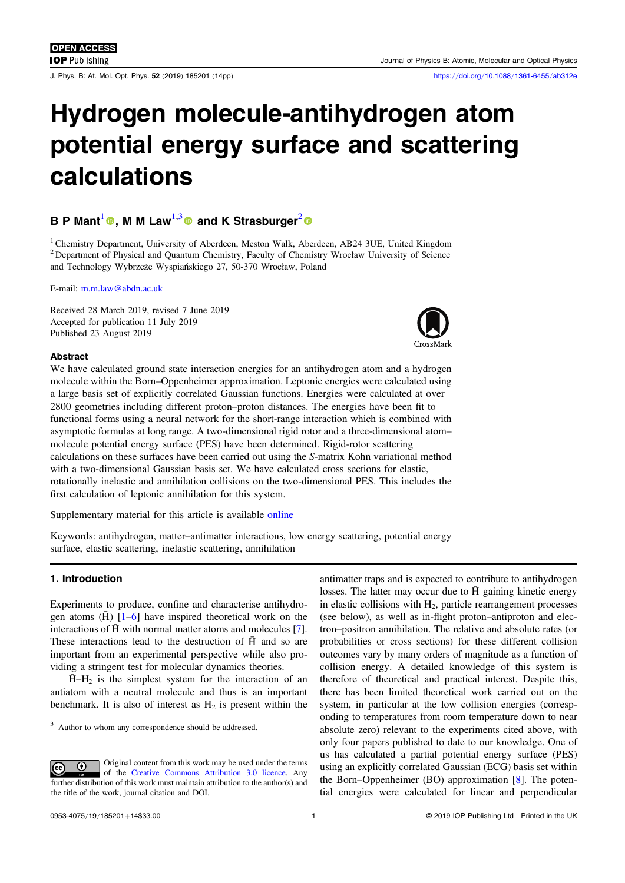J. Phys. B: At. Mol. Opt. Phys. 52 (2019) 185201 (14pp) https://doi.org/10.1088/[1361-6455](https://doi.org/10.1088/1361-6455/ab312e)/ab312e

## Journal of Physics B: Atomic, Molecular and Optical Physics

## Hydrogen molecule-antihydrogen atom potential energy surface and scattering calculations

## B P Mant<sup>[1](https://orcid.org/0000-0002-3116-5364)</sup>  $\bullet$ [,](https://orcid.org/0000-0002-3116-5364) M M Law<sup>1,[3](https://orcid.org/0000-0002-3001-7685)</sup>  $\bullet$  and K Strasburger<sup>[2](https://orcid.org/0000-0002-9214-7282)</sup>  $\bullet$

<sup>1</sup> Chemistry Department, University of Aberdeen, Meston Walk, Aberdeen, AB24 3UE, United Kingdom <sup>2</sup> Department of Physical and Quantum Chemistry, Faculty of Chemistry Wrocław University of Science and Technology Wybrzeże Wyspiańskiego 27, 50-370 Wrocław, Poland

E-mail: [m.m.law@abdn.ac.uk](mailto:m.m.law@abdn.ac.uk)

Received 28 March 2019, revised 7 June 2019 Accepted for publication 11 July 2019 Published 23 August 2019

### Abstract

We have calculated ground state interaction energies for an antihydrogen atom and a hydrogen molecule within the Born–Oppenheimer approximation. Leptonic energies were calculated using a large basis set of explicitly correlated Gaussian functions. Energies were calculated at over 2800 geometries including different proton–proton distances. The energies have been fit to functional forms using a neural network for the short-range interaction which is combined with asymptotic formulas at long range. A two-dimensional rigid rotor and a three-dimensional atom– molecule potential energy surface (PES) have been determined. Rigid-rotor scattering calculations on these surfaces have been carried out using the S-matrix Kohn variational method with a two-dimensional Gaussian basis set. We have calculated cross sections for elastic, rotationally inelastic and annihilation collisions on the two-dimensional PES. This includes the first calculation of leptonic annihilation for this system.

Supplementary material for this article is available [online](https://doi.org/10.1088/1361-6455/ab312e)

Keywords: antihydrogen, matter–antimatter interactions, low energy scattering, potential energy surface, elastic scattering, inelastic scattering, annihilation

#### 1. Introduction

Experiments to produce, confine and characterise antihydrogen atoms  $(\bar{H})$  [[1](#page-13-0)–[6](#page-13-0)] have inspired theoretical work on the interactions of  $\bar{H}$  with normal matter atoms and molecules [[7](#page-13-0)]. These interactions lead to the destruction of  $\bar{H}$  and so are important from an experimental perspective while also providing a stringent test for molecular dynamics theories.

 $\bar{H}-H_2$  is the simplest system for the interaction of an antiatom with a neutral molecule and thus is an important benchmark. It is also of interest as  $H_2$  is present within the antimatter traps and is expected to contribute to antihydrogen losses. The latter may occur due to  $\bar{H}$  gaining kinetic energy in elastic collisions with  $H_2$ , particle rearrangement processes (see below), as well as in-flight proton–antiproton and electron–positron annihilation. The relative and absolute rates (or probabilities or cross sections) for these different collision outcomes vary by many orders of magnitude as a function of collision energy. A detailed knowledge of this system is therefore of theoretical and practical interest. Despite this, there has been limited theoretical work carried out on the system, in particular at the low collision energies (corresponding to temperatures from room temperature down to near absolute zero) relevant to the experiments cited above, with only four papers published to date to our knowledge. One of us has calculated a partial potential energy surface (PES) using an explicitly correlated Gaussian (ECG) basis set within the Born–Oppenheimer (BO) approximation [[8](#page-13-0)]. The potential energies were calculated for linear and perpendicular



<sup>&</sup>lt;sup>3</sup> Author to whom any correspondence should be addressed.

Original content from this work may be used under the terms  $\bigcirc$  $|G \rangle$ of the [Creative Commons Attribution 3.0 licence](http://creativecommons.org/licenses/by/3.0/). Any further distribution of this work must maintain attribution to the author(s) and the title of the work, journal citation and DOI.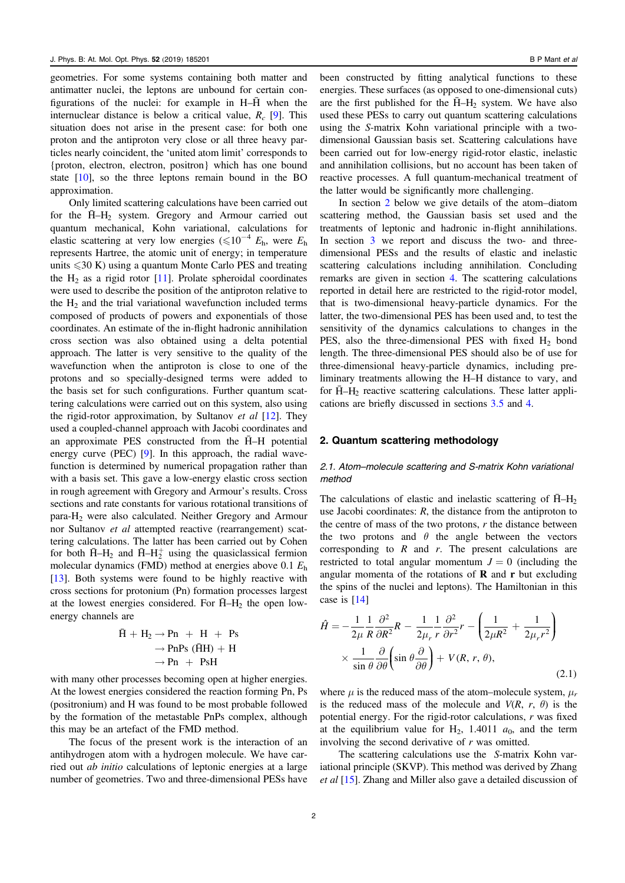<span id="page-2-0"></span>geometries. For some systems containing both matter and antimatter nuclei, the leptons are unbound for certain configurations of the nuclei: for example in  $H-\bar{H}$  when the internuclear distance is below a critical value,  $R_c$  [[9](#page-14-0)]. This situation does not arise in the present case: for both one proton and the antiproton very close or all three heavy particles nearly coincident, the 'united atom limit' corresponds to {proton, electron, electron, positron} which has one bound state [[10](#page-14-0)], so the three leptons remain bound in the BO approximation.

Only limited scattering calculations have been carried out for the  $\bar{H}$ – $H_2$  system. Gregory and Armour carried out quantum mechanical, Kohn variational, calculations for elastic scattering at very low energies ( $\leq 10^{-4}$  E<sub>h</sub>, were E<sub>h</sub> represents Hartree, the atomic unit of energy; in temperature units  $\leq 30$  K) using a quantum Monte Carlo PES and treating the  $H_2$  as a rigid rotor [[11](#page-14-0)]. Prolate spheroidal coordinates were used to describe the position of the antiproton relative to the  $H_2$  and the trial variational wavefunction included terms composed of products of powers and exponentials of those coordinates. An estimate of the in-flight hadronic annihilation cross section was also obtained using a delta potential approach. The latter is very sensitive to the quality of the wavefunction when the antiproton is close to one of the protons and so specially-designed terms were added to the basis set for such configurations. Further quantum scattering calculations were carried out on this system, also using the rigid-rotor approximation, by Sultanov et al  $[12]$  $[12]$  $[12]$ . They used a coupled-channel approach with Jacobi coordinates and an approximate PES constructed from the  $\bar{H}-H$  potential energy curve (PEC) [[9](#page-14-0)]. In this approach, the radial wavefunction is determined by numerical propagation rather than with a basis set. This gave a low-energy elastic cross section in rough agreement with Gregory and Armour's results. Cross sections and rate constants for various rotational transitions of para-H2 were also calculated. Neither Gregory and Armour nor Sultanov et al attempted reactive (rearrangement) scattering calculations. The latter has been carried out by Cohen for both  $\bar{H}$ – $H_2$  and  $\bar{H}$ – $H_2^+$  using the quasiclassical fermion molecular dynamics (FMD) method at energies above 0.1 E<sup>h</sup> [[13](#page-14-0)]. Both systems were found to be highly reactive with cross sections for protonium (Pn) formation processes largest at the lowest energies considered. For  $\bar{H}$ – $H_2$  the open lowenergy channels are

$$
\begin{aligned} \tilde{H} + H_2 &\rightarrow Pn \ + \ H \ + \ Ps \\ &\rightarrow PnPs \ (\tilde{H}H) \ + \ H \\ &\rightarrow Pn \ + \ PsH \end{aligned}
$$

with many other processes becoming open at higher energies. At the lowest energies considered the reaction forming Pn, Ps (positronium) and H was found to be most probable followed by the formation of the metastable PnPs complex, although this may be an artefact of the FMD method.

The focus of the present work is the interaction of an antihydrogen atom with a hydrogen molecule. We have carried out ab initio calculations of leptonic energies at a large number of geometries. Two and three-dimensional PESs have been constructed by fitting analytical functions to these energies. These surfaces (as opposed to one-dimensional cuts) are the first published for the  $\overline{H}-H_2$  system. We have also used these PESs to carry out quantum scattering calculations using the S-matrix Kohn variational principle with a twodimensional Gaussian basis set. Scattering calculations have been carried out for low-energy rigid-rotor elastic, inelastic and annihilation collisions, but no account has been taken of reactive processes. A full quantum-mechanical treatment of the latter would be significantly more challenging.

In section 2 below we give details of the atom–diatom scattering method, the Gaussian basis set used and the treatments of leptonic and hadronic in-flight annihilations. In section [3](#page-4-0) we report and discuss the two- and threedimensional PESs and the results of elastic and inelastic scattering calculations including annihilation. Concluding remarks are given in section [4](#page-9-0). The scattering calculations reported in detail here are restricted to the rigid-rotor model, that is two-dimensional heavy-particle dynamics. For the latter, the two-dimensional PES has been used and, to test the sensitivity of the dynamics calculations to changes in the PES, also the three-dimensional PES with fixed  $H_2$  bond length. The three-dimensional PES should also be of use for three-dimensional heavy-particle dynamics, including preliminary treatments allowing the H–H distance to vary, and for  $\bar{H}-H_2$  reactive scattering calculations. These latter applications are briefly discussed in sections [3.5](#page-9-0) and [4](#page-9-0).

#### 2. Quantum scattering methodology

#### 2.1. Atom–molecule scattering and S-matrix Kohn variational method

The calculations of elastic and inelastic scattering of  $\overline{H}-H_2$ use Jacobi coordinates: R, the distance from the antiproton to the centre of mass of the two protons,  $r$  the distance between the two protons and  $\theta$  the angle between the vectors corresponding to  $R$  and  $r$ . The present calculations are restricted to total angular momentum  $J = 0$  (including the angular momenta of the rotations of  **and**  $**r**$  **but excluding** the spins of the nuclei and leptons). The Hamiltonian in this case is [[14](#page-14-0)]

$$
\hat{H} = -\frac{1}{2\mu} \frac{1}{R} \frac{\partial^2}{\partial R^2} R - \frac{1}{2\mu_r} \frac{1}{r} \frac{\partial^2}{\partial r^2} r - \left(\frac{1}{2\mu R^2} + \frac{1}{2\mu_r r^2}\right) \times \frac{1}{\sin \theta} \frac{\partial}{\partial \theta} \left(\sin \theta \frac{\partial}{\partial \theta}\right) + V(R, r, \theta),
$$
\n(2.1)

where  $\mu$  is the reduced mass of the atom–molecule system,  $\mu_r$ is the reduced mass of the molecule and  $V(R, r, \theta)$  is the potential energy. For the rigid-rotor calculations,  $r$  was fixed at the equilibrium value for  $H_2$ , 1.4011  $a_0$ , and the term involving the second derivative of r was omitted.

The scattering calculations use the S-matrix Kohn variational principle (SKVP). This method was derived by Zhang et al [[15](#page-14-0)]. Zhang and Miller also gave a detailed discussion of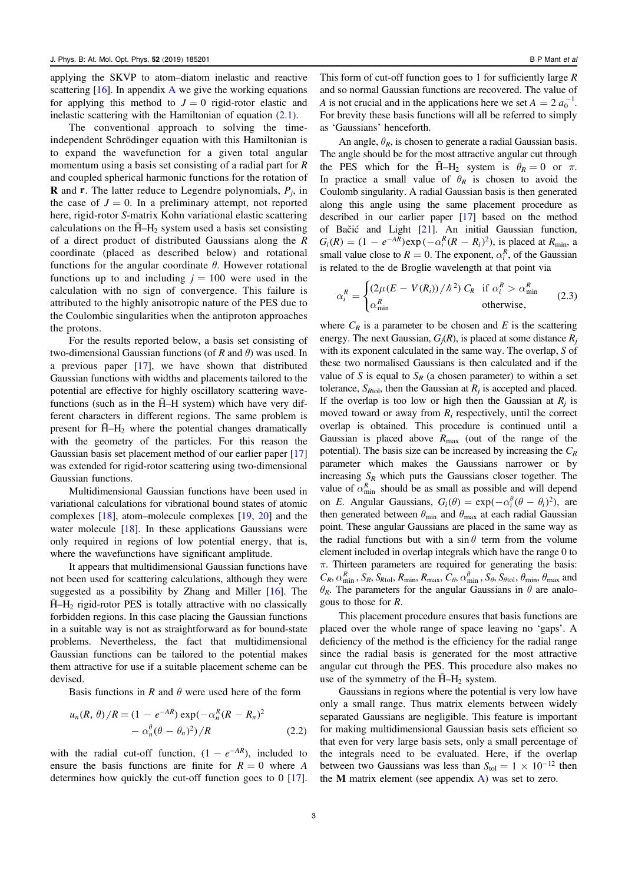applying the SKVP to atom–diatom inelastic and reactive scattering  $[16]$  $[16]$  $[16]$ . In appendix [A](#page-10-0) we give the working equations for applying this method to  $J = 0$  rigid-rotor elastic and inelastic scattering with the Hamiltonian of equation ([2.1](#page-2-0)).

The conventional approach to solving the timeindependent Schrödinger equation with this Hamiltonian is to expand the wavefunction for a given total angular momentum using a basis set consisting of a radial part for  $$ and coupled spherical harmonic functions for the rotation of **R** and **r**. The latter reduce to Legendre polynomials,  $P_i$ , in the case of  $J = 0$ . In a preliminary attempt, not reported here, rigid-rotor S-matrix Kohn variational elastic scattering calculations on the  $\bar{H}$ –H<sub>2</sub> system used a basis set consisting of a direct product of distributed Gaussians along the R coordinate (placed as described below) and rotational functions for the angular coordinate  $\theta$ . However rotational functions up to and including  $j = 100$  were used in the calculation with no sign of convergence. This failure is attributed to the highly anisotropic nature of the PES due to the Coulombic singularities when the antiproton approaches the protons.

For the results reported below, a basis set consisting of two-dimensional Gaussian functions (of R and  $\theta$ ) was used. In a previous paper [[17](#page-14-0)], we have shown that distributed Gaussian functions with widths and placements tailored to the potential are effective for highly oscillatory scattering wavefunctions (such as in the  $\bar{H}$ –H system) which have very different characters in different regions. The same problem is present for  $\overline{H}-H_2$  where the potential changes dramatically with the geometry of the particles. For this reason the Gaussian basis set placement method of our earlier paper [[17](#page-14-0)] was extended for rigid-rotor scattering using two-dimensional Gaussian functions.

Multidimensional Gaussian functions have been used in variational calculations for vibrational bound states of atomic complexes [[18](#page-14-0)], atom–molecule complexes [[19,](#page-14-0) [20](#page-14-0)] and the water molecule [[18](#page-14-0)]. In these applications Gaussians were only required in regions of low potential energy, that is, where the wavefunctions have significant amplitude.

It appears that multidimensional Gaussian functions have not been used for scattering calculations, although they were suggested as a possibility by Zhang and Miller [[16](#page-14-0)]. The  $\bar{H}$ – $H_2$  rigid-rotor PES is totally attractive with no classically forbidden regions. In this case placing the Gaussian functions in a suitable way is not as straightforward as for bound-state problems. Nevertheless, the fact that multidimensional Gaussian functions can be tailored to the potential makes them attractive for use if a suitable placement scheme can be devised.

Basis functions in R and  $\theta$  were used here of the form

$$
u_n(R, \theta)/R = (1 - e^{-AR}) \exp(-\alpha_n^R (R - R_n)^2
$$

$$
- \alpha_n^{\theta} (\theta - \theta_n)^2) / R \qquad (2.2)
$$

with the radial cut-off function,  $(1 - e^{-AR})$ , included to ensure the basis functions are finite for  $R = 0$  where A determines how quickly the cut-off function goes to 0 [[17](#page-14-0)]. This form of cut-off function goes to 1 for sufficiently large  $R$ and so normal Gaussian functions are recovered. The value of A is not crucial and in the applications here we set  $A = 2 a_0^{-1}$ . For brevity these basis functions will all be referred to simply as 'Gaussians' henceforth.

An angle,  $\theta_R$ , is chosen to generate a radial Gaussian basis. The angle should be for the most attractive angular cut through the PES which for the  $\overline{H}$ –H<sub>2</sub> system is  $\theta_R = 0$  or  $\pi$ . In practice a small value of  $\theta_R$  is chosen to avoid the Coulomb singularity. A radial Gaussian basis is then generated along this angle using the same placement procedure as described in our earlier paper [[17](#page-14-0)] based on the method of Bačić and Light [[21](#page-14-0)]. An initial Gaussian function,  $G_i(R) = (1 - e^{-AR}) \exp(-\alpha_i^R (R - R_i)^2)$ , is placed at  $R_{\text{min}}$ , a small value close to  $R = 0$ . The exponent,  $\alpha_i^R$ , of the Gaussian is related to the de Broglie wavelength at that point via

$$
\alpha_i^R = \begin{cases} (2\mu(E - V(R_i))/\hbar^2) C_R & \text{if } \alpha_i^R > \alpha_{\min}^R \\ \alpha_{\min}^R & \text{otherwise,} \end{cases} \tag{2.3}
$$

where  $C_R$  is a parameter to be chosen and E is the scattering energy. The next Gaussian,  $G_i(R)$ , is placed at some distance  $R_i$ with its exponent calculated in the same way. The overlap, S of these two normalised Gaussians is then calculated and if the value of S is equal to  $S_R$  (a chosen parameter) to within a set tolerance,  $S_{Rtol}$ , then the Gaussian at  $R_i$  is accepted and placed. If the overlap is too low or high then the Gaussian at  $R_i$  is moved toward or away from  $R_i$  respectively, until the correct overlap is obtained. This procedure is continued until a Gaussian is placed above  $R_{\text{max}}$  (out of the range of the potential). The basis size can be increased by increasing the  $C_R$ parameter which makes the Gaussians narrower or by increasing  $S_R$  which puts the Gaussians closer together. The value of  $\alpha_{\min}^R$  should be as small as possible and will depend on *E*. Angular Gaussians,  $G_i(\theta) = \exp(-\alpha_i^{\theta} (\theta - \theta_i)^2)$ , are then generated between  $\theta_{\min}$  and  $\theta_{\max}$  at each radial Gaussian point. These angular Gaussians are placed in the same way as the radial functions but with a  $\sin \theta$  term from the volume element included in overlap integrals which have the range 0 to  $\pi$ . Thirteen parameters are required for generating the basis:  $C_R$ ,  $\alpha_{\min}^R$ ,  $S_R$ ,  $S_{Rtol}$ ,  $R_{\min}$ ,  $R_{\max}$ ,  $C_\theta$ ,  $\alpha_{\min}^\theta$ ,  $S_\theta$ ,  $S_{\theta tol}$ ,  $\theta_{\min}$ ,  $\theta_{\max}$  and  $\theta_R$ . The parameters for the angular Gaussians in  $\theta$  are analogous to those for R.

This placement procedure ensures that basis functions are placed over the whole range of space leaving no 'gaps'. A deficiency of the method is the efficiency for the radial range since the radial basis is generated for the most attractive angular cut through the PES. This procedure also makes no use of the symmetry of the  $\overline{H}-H_2$  system.

Gaussians in regions where the potential is very low have only a small range. Thus matrix elements between widely separated Gaussians are negligible. This feature is important for making multidimensional Gaussian basis sets efficient so that even for very large basis sets, only a small percentage of the integrals need to be evaluated. Here, if the overlap between two Gaussians was less than  $S_{\text{tol}} = 1 \times 10^{-12}$  then the M matrix element (see appendix  $\bf{A}$  $\bf{A}$  $\bf{A}$ ) was set to zero.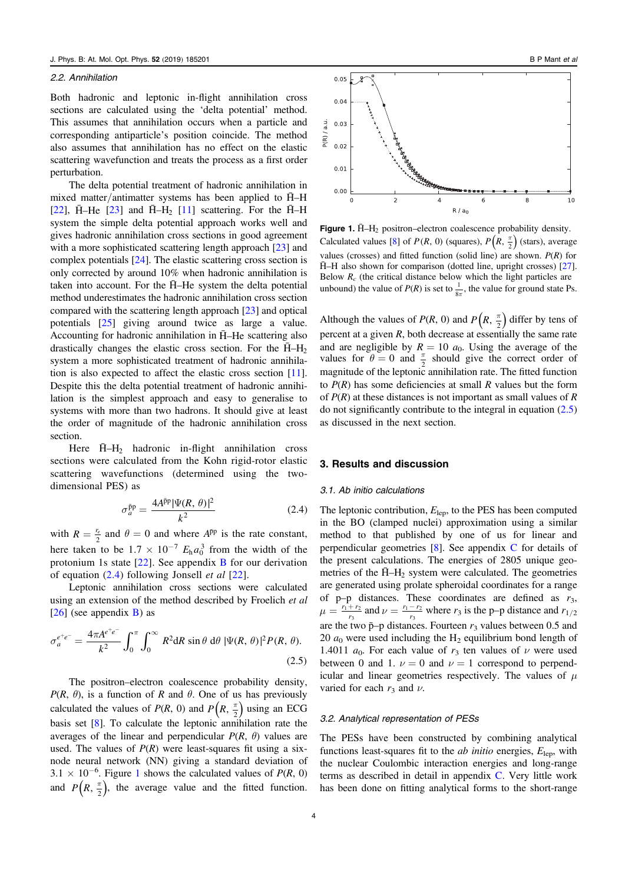#### <span id="page-4-0"></span>2.2. Annihilation

Both hadronic and leptonic in-flight annihilation cross sections are calculated using the 'delta potential' method. This assumes that annihilation occurs when a particle and corresponding antiparticle's position coincide. The method also assumes that annihilation has no effect on the elastic scattering wavefunction and treats the process as a first order perturbation.

The delta potential treatment of hadronic annihilation in mixed matter/antimatter systems has been applied to  $H-H$ [[22](#page-14-0)],  $\bar{H}$ –He [[23](#page-14-0)] and  $\bar{H}$ –H<sub>2</sub> [[11](#page-14-0)] scattering. For the  $\bar{H}$ –H system the simple delta potential approach works well and gives hadronic annihilation cross sections in good agreement with a more sophisticated scattering length approach [[23](#page-14-0)] and complex potentials [[24](#page-14-0)]. The elastic scattering cross section is only corrected by around 10% when hadronic annihilation is taken into account. For the  $\overline{H}$ –He system the delta potential method underestimates the hadronic annihilation cross section compared with the scattering length approach [[23](#page-14-0)] and optical potentials [[25](#page-14-0)] giving around twice as large a value. Accounting for hadronic annihilation in  $\bar{H}$ –He scattering also drastically changes the elastic cross section. For the  $\overline{H}-H_2$ system a more sophisticated treatment of hadronic annihilation is also expected to affect the elastic cross section [[11](#page-14-0)]. Despite this the delta potential treatment of hadronic annihilation is the simplest approach and easy to generalise to systems with more than two hadrons. It should give at least the order of magnitude of the hadronic annihilation cross section.

Here  $\bar{H}$ –H<sub>2</sub> hadronic in-flight annihilation cross sections were calculated from the Kohn rigid-rotor elastic scattering wavefunctions (determined using the twodimensional PES) as

$$
\sigma_a^{\bar{p}p} = \frac{4A^{\bar{p}p}|\Psi(R,\,\theta)|^2}{k^2} \tag{2.4}
$$

with  $R = \frac{r_e}{2}$  and  $\theta = 0$  and where  $A^{\bar{p}p}$  is the rate constant, here taken to be  $1.7 \times 10^{-7}$   $E_h a_0^3$  from the width of the protonium 1s state  $[22]$  $[22]$  $[22]$ . See appendix **[B](#page-11-0)** for our derivation of equation  $(2.4)$  following Jonsell *et al*  $[22]$  $[22]$  $[22]$ .

Leptonic annihilation cross sections were calculated using an extension of the method described by Froelich et al  $[26]$  $[26]$  $[26]$  (see appendix [B](#page-11-0)) as

$$
\sigma_a^{e^+e^-} = \frac{4\pi A^{e^+e^-}}{k^2} \int_0^{\pi} \int_0^{\infty} R^2 dR \sin\theta \ d\theta \ |\Psi(R,\,\theta)|^2 P(R,\,\theta). \tag{2.5}
$$

The positron–electron coalescence probability density,  $P(R, \theta)$ , is a function of R and  $\theta$ . One of us has previously calculated the values of  $P(R, 0)$  and  $P\left(R, \frac{\pi}{2}\right)$  using an ECG basis set [[8](#page-13-0)]. To calculate the leptonic annihilation rate the averages of the linear and perpendicular  $P(R, \theta)$  values are used. The values of  $P(R)$  were least-squares fit using a sixnode neural network (NN) giving a standard deviation of  $3.1 \times 10^{-6}$ . Figure 1 shows the calculated values of  $P(R, 0)$ and  $P\left(R, \frac{\pi}{2}\right)$ , the average value and the fitted function.



Figure 1.  $\bar{H}$ –H<sub>2</sub> positron–electron coalescence probability density. Calculated values [[8](#page-13-0)] of *P*(*R*, 0) (squares),  $P(R, \frac{\pi}{2})$  (stars), average values (crosses) and fitted function (solid line) are shown.  $P(R)$  for  $\bar{H}$ –H also shown for comparison (dotted line, upright crosses) [[27](#page-14-0)]. Below  $R_c$  (the critical distance below which the light particles are unbound) the value of  $P(R)$  is set to  $\frac{1}{8\pi}$ , the value for ground state Ps.

Although the values of  $P(R, 0)$  and  $P\left(R, \frac{\pi}{2}\right)$  differ by tens of percent at a given  $R$ , both decrease at essentially the same rate and are negligible by  $R = 10 a_0$ . Using the average of the values for  $\theta = 0$  and  $\frac{\pi}{2}$  should give the correct order of magnitude of the leptonic annihilation rate. The fitted function to  $P(R)$  has some deficiencies at small R values but the form of  $P(R)$  at these distances is not important as small values of R do not significantly contribute to the integral in equation (2.5) as discussed in the next section.

#### 3. Results and discussion

#### 3.1. Ab initio calculations

The leptonic contribution,  $E_{\text{lep}}$ , to the PES has been computed in the BO (clamped nuclei) approximation using a similar method to that published by one of us for linear and perpendicular geometries [[8](#page-13-0)]. See appendix [C](#page-11-0) for details of the present calculations. The energies of 2805 unique geometries of the  $\bar{H}$ – $H_2$  system were calculated. The geometries are generated using prolate spheroidal coordinates for a range of p–p distances. These coordinates are defined as  $r_3$ ,  $\mu = \frac{r_1 + r_2}{r_3}$  $\frac{r_1 - r_2}{r_3}$  and  $\nu = \frac{r_1 - r_2}{r_3}$  $\frac{-r_2}{3}$  where  $r_3$  is the p-p distance and  $r_{1/2}$ are the two  $\bar{p}$ –p distances. Fourteen  $r_3$  values between 0.5 and 20  $a_0$  were used including the H<sub>2</sub> equilibrium bond length of 1.4011  $a_0$ . For each value of  $r_3$  ten values of  $\nu$  were used between 0 and 1.  $\nu = 0$  and  $\nu = 1$  correspond to perpendicular and linear geometries respectively. The values of  $\mu$ varied for each  $r_3$  and  $\nu$ .

#### 3.2. Analytical representation of PESs

The PESs have been constructed by combining analytical functions least-squares fit to the *ab initio* energies,  $E_{\text{lep}}$ , with the nuclear Coulombic interaction energies and long-range terms as described in detail in appendix [C](#page-11-0). Very little work has been done on fitting analytical forms to the short-range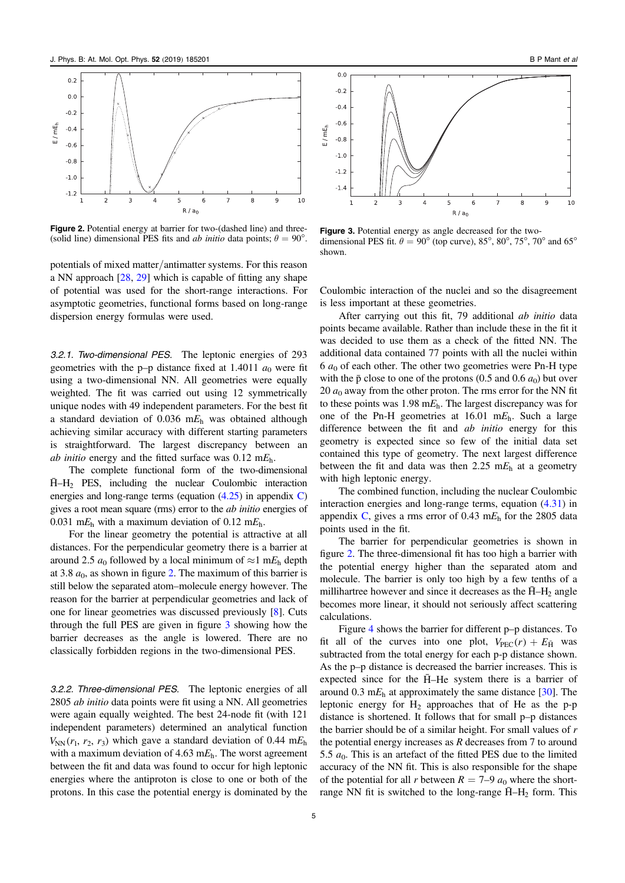<span id="page-5-0"></span>

Figure 2. Potential energy at barrier for two-(dashed line) and three-**Figure 2.** Potential energy at barrier for two-(aashed line) and three-<br>(solid line) dimensional PES fits and *ab initio* data points;  $\theta = 90^\circ$ .<br>dimensional PES fit  $\theta = 90^\circ$  (top curve),  $85^\circ$  80°, 75°, 70

potentials of mixed matter/antimatter systems. For this reason a NN approach [[28,](#page-14-0) [29](#page-14-0)] which is capable of fitting any shape of potential was used for the short-range interactions. For asymptotic geometries, functional forms based on long-range dispersion energy formulas were used.

3.2.1. Two-dimensional PES. The leptonic energies of 293 geometries with the p–p distance fixed at 1.4011  $a_0$  were fit using a two-dimensional NN. All geometries were equally weighted. The fit was carried out using 12 symmetrically unique nodes with 49 independent parameters. For the best fit a standard deviation of 0.036 m*E*<sup>h</sup> was obtained although achieving similar accuracy with different starting parameters is straightforward. The largest discrepancy between an ab initio energy and the fitted surface was 0.12 m*E*h.

The complete functional form of the two-dimensional  $\bar{H}-H_2$  PES, including the nuclear Coulombic interaction energies and long-range terms (equation  $(4.25)$  $(4.25)$  $(4.25)$  in appendix [C](#page-11-0)) gives a root mean square (rms) error to the ab initio energies of 0.031 m $E_h$  with a maximum deviation of 0.12 m $E_h$ .

For the linear geometry the potential is attractive at all distances. For the perpendicular geometry there is a barrier at around 2.5  $a_0$  followed by a local minimum of  $\approx$ 1 m $E_h$  depth at 3.8  $a_0$ , as shown in figure 2. The maximum of this barrier is still below the separated atom–molecule energy however. The reason for the barrier at perpendicular geometries and lack of one for linear geometries was discussed previously [[8](#page-13-0)]. Cuts through the full PES are given in figure 3 showing how the barrier decreases as the angle is lowered. There are no classically forbidden regions in the two-dimensional PES.

3.2.2. Three-dimensional PES. The leptonic energies of all 2805 *ab initio* data points were fit using a NN. All geometries were again equally weighted. The best 24-node fit (with 121 independent parameters) determined an analytical function  $V_{NN}(r_1, r_2, r_3)$  which gave a standard deviation of 0.44 m $E_h$ with a maximum deviation of 4.63 m*E*h. The worst agreement between the fit and data was found to occur for high leptonic energies where the antiproton is close to one or both of the protons. In this case the potential energy is dominated by the



dimensional PES fit.  $\theta = 90^\circ$  (top curve), 85°, 80°, 75°, 70° and 65° shown.

Coulombic interaction of the nuclei and so the disagreement is less important at these geometries.

After carrying out this fit, 79 additional *ab initio* data points became available. Rather than include these in the fit it was decided to use them as a check of the fitted NN. The additional data contained 77 points with all the nuclei within 6  $a_0$  of each other. The other two geometries were Pn-H type with the  $\bar{p}$  close to one of the protons (0.5 and 0.6  $a_0$ ) but over 20  $a_0$  away from the other proton. The rms error for the NN fit to these points was 1.98 m*E*h. The largest discrepancy was for one of the Pn-H geometries at 16.01 m*E*h. Such a large difference between the fit and *ab initio* energy for this geometry is expected since so few of the initial data set contained this type of geometry. The next largest difference between the fit and data was then 2.25 m*E*<sup>h</sup> at a geometry with high leptonic energy.

The combined function, including the nuclear Coulombic interaction energies and long-range terms, equation ([4.31](#page-13-0)) in appendix [C,](#page-11-0) gives a rms error of 0.43 m $E<sub>h</sub>$  for the 2805 data points used in the fit.

The barrier for perpendicular geometries is shown in figure 2. The three-dimensional fit has too high a barrier with the potential energy higher than the separated atom and molecule. The barrier is only too high by a few tenths of a millihartree however and since it decreases as the  $\bar{H}$ –H<sub>2</sub> angle becomes more linear, it should not seriously affect scattering calculations.

Figure [4](#page-6-0) shows the barrier for different p–p distances. To fit all of the curves into one plot,  $V_{\text{PEC}}(r) + E_{\text{H}}$  was subtracted from the total energy for each p-p distance shown. As the p–p distance is decreased the barrier increases. This is expected since for the  $\bar{H}$ –He system there is a barrier of around  $0.3 \text{ m}E_h$  at approximately the same distance [[30](#page-14-0)]. The leptonic energy for  $H_2$  approaches that of He as the p-p distance is shortened. It follows that for small p–p distances the barrier should be of a similar height. For small values of  $r$ the potential energy increases as  $R$  decreases from  $7$  to around 5.5  $a_0$ . This is an artefact of the fitted PES due to the limited accuracy of the NN fit. This is also responsible for the shape of the potential for all r between  $R = 7-9$   $a_0$  where the shortrange NN fit is switched to the long-range  $\overline{H}-H_2$  form. This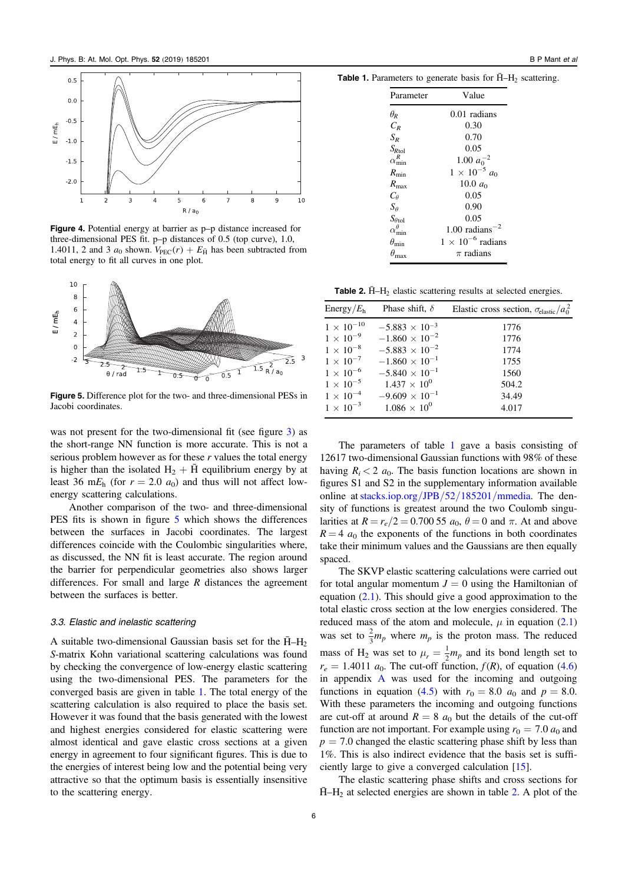<span id="page-6-0"></span>

Figure 4. Potential energy at barrier as p–p distance increased for three-dimensional PES fit. p–p distances of 0.5 (top curve), 1.0, 1.4011, 2 and 3  $a_0$  shown.  $V_{\text{PEC}}(r) + E_{\overline{H}}$  has been subtracted from total energy to fit all curves in one plot.



Figure 5. Difference plot for the two- and three-dimensional PESs in Jacobi coordinates.

was not present for the two-dimensional fit (see figure [3](#page-5-0)) as the short-range NN function is more accurate. This is not a serious problem however as for these  $r$  values the total energy is higher than the isolated  $H_2 + \bar{H}$  equilibrium energy by at least 36 m $E_h$  (for  $r = 2.0 a_0$ ) and thus will not affect lowenergy scattering calculations.

Another comparison of the two- and three-dimensional PES fits is shown in figure 5 which shows the differences between the surfaces in Jacobi coordinates. The largest differences coincide with the Coulombic singularities where, as discussed, the NN fit is least accurate. The region around the barrier for perpendicular geometries also shows larger differences. For small and large  $R$  distances the agreement between the surfaces is better.

#### 3.3. Elastic and inelastic scattering

A suitable two-dimensional Gaussian basis set for the  $\overline{H}-H_2$ S-matrix Kohn variational scattering calculations was found by checking the convergence of low-energy elastic scattering using the two-dimensional PES. The parameters for the converged basis are given in table 1. The total energy of the scattering calculation is also required to place the basis set. However it was found that the basis generated with the lowest and highest energies considered for elastic scattering were almost identical and gave elastic cross sections at a given energy in agreement to four significant figures. This is due to the energies of interest being low and the potential being very attractive so that the optimum basis is essentially insensitive to the scattering energy.

**Table 1.** Parameters to generate basis for  $\overline{H} - H_2$  scattering.

| Parameter                   | Value                      |  |  |  |
|-----------------------------|----------------------------|--|--|--|
| $\theta_{\rm R}$            | 0.01 radians               |  |  |  |
| $C_R$                       | 0.30                       |  |  |  |
| $S_{\scriptscriptstyle{R}}$ | 0.70                       |  |  |  |
| $S_{R}$ tol                 | 0.05                       |  |  |  |
| $\alpha_{\min}^R$           | 1.00 $a_0^{-2}$            |  |  |  |
| $R_{\min}$                  | $1 \times 10^{-5} a_0$     |  |  |  |
| $R_{\rm max}$               | 10.0 $a_0$                 |  |  |  |
| $C_{\theta}$                | 0.05                       |  |  |  |
| $S_{\theta}$                | 0.90                       |  |  |  |
| $S_{\theta\mathrm{tol}}$    | 0.05                       |  |  |  |
| $\alpha_{\min}^{\theta}$    | $1.00$ radians $^{-}$      |  |  |  |
| $\theta_{\rm min}$          | $1 \times 10^{-6}$ radians |  |  |  |
|                             | $\pi$ radians              |  |  |  |

Table 2.  $\bar{H}$ – $H_2$  elastic scattering results at selected energies.

| Energy/ $Eh$        | Phase shift, $\delta$   | Elastic cross section, $\sigma_{\text{elastic}}/a_0^2$ |
|---------------------|-------------------------|--------------------------------------------------------|
| $1 \times 10^{-10}$ | $-5.883 \times 10^{-3}$ | 1776                                                   |
| $1 \times 10^{-9}$  | $-1.860 \times 10^{-2}$ | 1776                                                   |
| $1 \times 10^{-8}$  | $-5.883 \times 10^{-2}$ | 1774                                                   |
| $1 \times 10^{-7}$  | $-1.860 \times 10^{-1}$ | 1755                                                   |
| $1 \times 10^{-6}$  | $-5.840 \times 10^{-1}$ | 1560                                                   |
| $1 \times 10^{-5}$  | $1.437 \times 10^{0}$   | 504.2                                                  |
| $1 \times 10^{-4}$  | $-9.609 \times 10^{-1}$ | 34.49                                                  |
| $1 \times 10^{-3}$  | $1.086 \times 10^{0}$   | 4.017                                                  |

The parameters of table 1 gave a basis consisting of 12617 two-dimensional Gaussian functions with 98% of these having  $R_i < 2$  a<sub>0</sub>. The basis function locations are shown in figures S1 and S2 in the supplementary information available online at [stacks.iop.org](http://stacks.iop.org/JPB/52/185201/mmedia)/JPB/52/185201/mmedia. The density of functions is greatest around the two Coulomb singularities at  $R = r_e/2 = 0.70055 a_0$ ,  $\theta = 0$  and  $\pi$ . At and above  $R = 4$  a<sub>0</sub> the exponents of the functions in both coordinates take their minimum values and the Gaussians are then equally spaced.

The SKVP elastic scattering calculations were carried out for total angular momentum  $J = 0$  using the Hamiltonian of equation  $(2.1)$  $(2.1)$  $(2.1)$ . This should give a good approximation to the total elastic cross section at the low energies considered. The reduced mass of the atom and molecule,  $\mu$  in equation ([2.1](#page-2-0)) was set to  $\frac{2}{3}m_p$  where  $m_p$  is the proton mass. The reduced mass of H<sub>2</sub> was set to  $\mu_r = \frac{1}{2}m_p$  and its bond length set to  $r_e = 1.4011 a_0$ . The cut-off function,  $f(R)$ , of equation ([4.6](#page-10-0)) in appendix  $\bf{A}$  $\bf{A}$  $\bf{A}$  was used for the incoming and outgoing functions in equation ([4.5](#page-10-0)) with  $r_0 = 8.0$  and  $p = 8.0$ . With these parameters the incoming and outgoing functions are cut-off at around  $R = 8$  a<sub>0</sub> but the details of the cut-off function are not important. For example using  $r_0 = 7.0 a_0$  and  $p = 7.0$  changed the elastic scattering phase shift by less than 1%. This is also indirect evidence that the basis set is sufficiently large to give a converged calculation [[15](#page-14-0)].

The elastic scattering phase shifts and cross sections for  $\overline{H}-H_2$  at selected energies are shown in table 2. A plot of the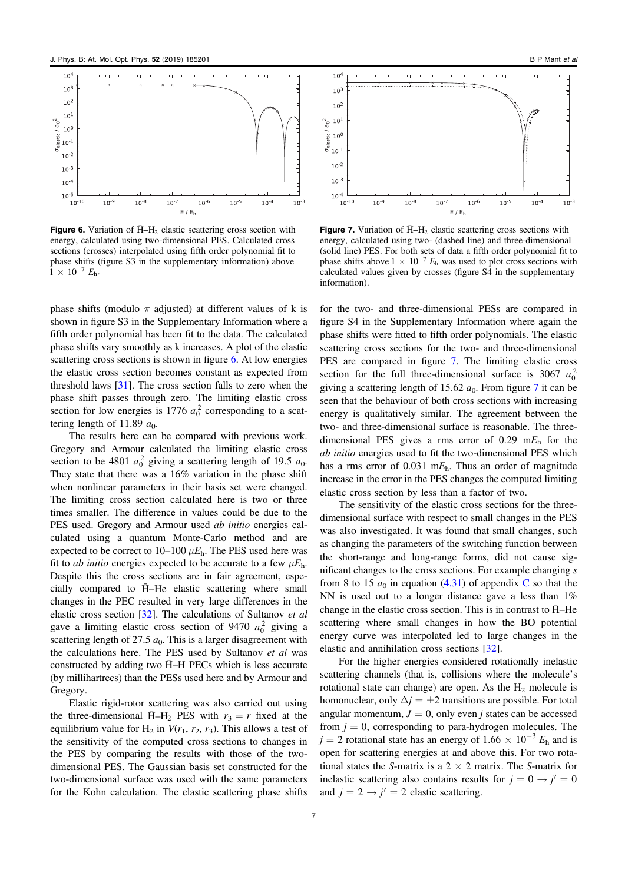

**Figure 6.** Variation of  $\bar{H}$ – $H_2$  elastic scattering cross section with energy, calculated using two-dimensional PES. Calculated cross sections (crosses) interpolated using fifth order polynomial fit to phase shifts (figure S3 in the supplementary information) above  $1 \times 10^{-7} E_{\rm h}$ .

phase shifts (modulo  $\pi$  adjusted) at different values of k is shown in figure S3 in the Supplementary Information where a fifth order polynomial has been fit to the data. The calculated phase shifts vary smoothly as k increases. A plot of the elastic scattering cross sections is shown in figure 6. At low energies the elastic cross section becomes constant as expected from threshold laws [[31](#page-14-0)]. The cross section falls to zero when the phase shift passes through zero. The limiting elastic cross section for low energies is 1776  $a_0^2$  corresponding to a scattering length of 11.89  $a_0$ .

The results here can be compared with previous work. Gregory and Armour calculated the limiting elastic cross section to be 4801  $a_0^2$  giving a scattering length of 19.5  $a_0$ . They state that there was a 16% variation in the phase shift when nonlinear parameters in their basis set were changed. The limiting cross section calculated here is two or three times smaller. The difference in values could be due to the PES used. Gregory and Armour used *ab initio* energies calculated using a quantum Monte-Carlo method and are expected to be correct to 10–100  $\mu E_h$ . The PES used here was fit to *ab initio* energies expected to be accurate to a few  $\mu E_h$ . Despite this the cross sections are in fair agreement, especially compared to  $\bar{H}$ –He elastic scattering where small changes in the PEC resulted in very large differences in the elastic cross section [[32](#page-14-0)]. The calculations of Sultanov et al gave a limiting elastic cross section of 9470  $a_0^2$  giving a scattering length of 27.5  $a_0$ . This is a larger disagreement with the calculations here. The PES used by Sultanov et al was constructed by adding two  $H-H$  PECs which is less accurate (by millihartrees) than the PESs used here and by Armour and Gregory.

Elastic rigid-rotor scattering was also carried out using the three-dimensional  $\overline{H} - H_2$  PES with  $r_3 = r$  fixed at the equilibrium value for H<sub>2</sub> in  $V(r_1, r_2, r_3)$ . This allows a test of the sensitivity of the computed cross sections to changes in the PES by comparing the results with those of the twodimensional PES. The Gaussian basis set constructed for the two-dimensional surface was used with the same parameters for the Kohn calculation. The elastic scattering phase shifts





**Figure 7.** Variation of  $\bar{H}$ – $H_2$  elastic scattering cross sections with energy, calculated using two- (dashed line) and three-dimensional (solid line) PES. For both sets of data a fifth order polynomial fit to phase shifts above  $1 \times 10^{-7}$   $E_h$  was used to plot cross sections with calculated values given by crosses (figure S4 in the supplementary information).

for the two- and three-dimensional PESs are compared in figure S4 in the Supplementary Information where again the phase shifts were fitted to fifth order polynomials. The elastic scattering cross sections for the two- and three-dimensional PES are compared in figure 7. The limiting elastic cross section for the full three-dimensional surface is 3067  $a_0^2$ giving a scattering length of 15.62  $a_0$ . From figure 7 it can be seen that the behaviour of both cross sections with increasing energy is qualitatively similar. The agreement between the two- and three-dimensional surface is reasonable. The threedimensional PES gives a rms error of 0.29 m $E_h$  for the ab initio energies used to fit the two-dimensional PES which has a rms error of 0.031 m $E_h$ . Thus an order of magnitude increase in the error in the PES changes the computed limiting elastic cross section by less than a factor of two.

The sensitivity of the elastic cross sections for the threedimensional surface with respect to small changes in the PES was also investigated. It was found that small changes, such as changing the parameters of the switching function between the short-range and long-range forms, did not cause significant changes to the cross sections. For example changing s from 8 to 15  $a_0$  in equation ([4.31](#page-13-0)) of appendix [C](#page-11-0) so that the NN is used out to a longer distance gave a less than  $1\%$ change in the elastic cross section. This is in contrast to  $\bar{H}$ –He scattering where small changes in how the BO potential energy curve was interpolated led to large changes in the elastic and annihilation cross sections [[32](#page-14-0)].

For the higher energies considered rotationally inelastic scattering channels (that is, collisions where the molecule's rotational state can change) are open. As the  $H_2$  molecule is homonuclear, only  $\Delta j = \pm 2$  transitions are possible. For total angular momentum,  $J = 0$ , only even j states can be accessed from  $j = 0$ , corresponding to para-hydrogen molecules. The  $j = 2$  rotational state has an energy of 1.66 × 10<sup>-3</sup>  $E_h$  and is open for scattering energies at and above this. For two rotational states the S-matrix is a  $2 \times 2$  matrix. The S-matrix for inelastic scattering also contains results for  $j = 0 \rightarrow j' = 0$ and  $j = 2 \rightarrow j' = 2$  elastic scattering.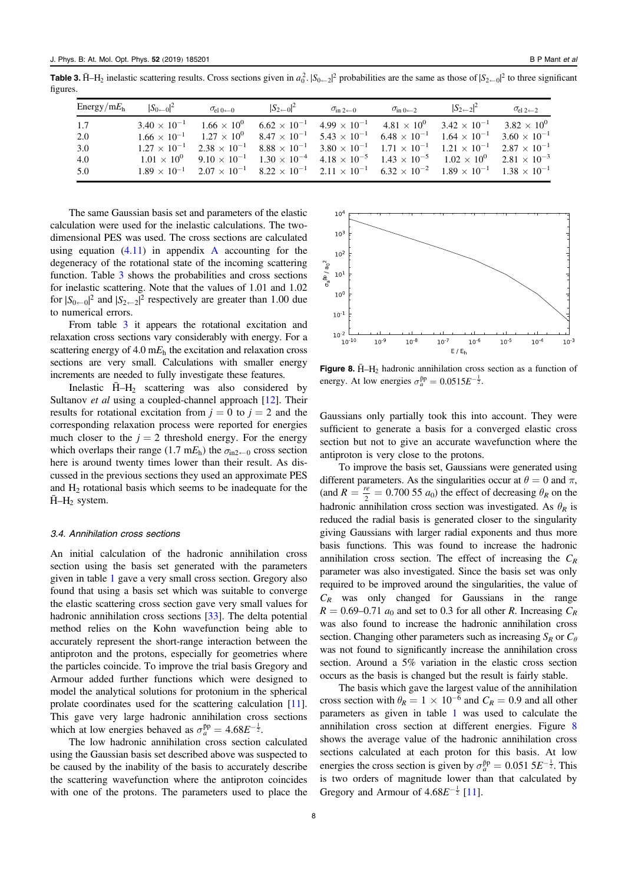<span id="page-8-0"></span>**Table 3.**  $\bar{H}$ – $H_2$  inelastic scattering results. Cross sections given in  $a_0^2$ .  $|S_{0\leftarrow 2}|^2$  probabilities are the same as those of  $|S_{2\leftarrow 0}|^2$  to three significant figures.

| Energy/m $E_h$ | $ S_{0} - 0 ^2$       | $\sigma_{\rm el\, 0\leftarrow 0}$ | $ S_{2\leftarrow 0} ^2$ | $\sigma_{\text{in 2}\leftarrow\text{0}}$ | $\sigma_{\text{in }0} \leftarrow 2$                                                                                                                       | $ S_{2\leftarrow 2} ^2$ | $\sigma_{\rm el}$ 2 $\leftarrow$ 2 |
|----------------|-----------------------|-----------------------------------|-------------------------|------------------------------------------|-----------------------------------------------------------------------------------------------------------------------------------------------------------|-------------------------|------------------------------------|
| 1.7            |                       |                                   |                         |                                          | $3.40 \times 10^{-1}$ $1.66 \times 10^{0}$ $6.62 \times 10^{-1}$ $4.99 \times 10^{-1}$ $4.81 \times 10^{0}$ $3.42 \times 10^{-1}$ $3.82 \times 10^{0}$    |                         |                                    |
| 2.0            |                       |                                   |                         |                                          | $1.66 \times 10^{-1}$ $1.27 \times 10^{0}$ $8.47 \times 10^{-1}$ $5.43 \times 10^{-1}$ $6.48 \times 10^{-1}$ $1.64 \times 10^{-1}$ $3.60 \times 10^{-1}$  |                         |                                    |
| 3.0            | $1.27 \times 10^{-1}$ |                                   |                         |                                          | $2.38 \times 10^{-1}$ $8.88 \times 10^{-1}$ $3.80 \times 10^{-1}$ $1.71 \times 10^{-1}$ $1.21 \times 10^{-1}$ $2.87 \times 10^{-1}$                       |                         |                                    |
| 4.0            | $1.01 \times 10^{0}$  |                                   |                         |                                          | $9.10 \times 10^{-1}$ $1.30 \times 10^{-4}$ $4.18 \times 10^{-5}$ $1.43 \times 10^{-5}$ $1.02 \times 10^{0}$ $2.81 \times 10^{-3}$                        |                         |                                    |
| 5.0            |                       |                                   |                         |                                          | $1.89 \times 10^{-1}$ $2.07 \times 10^{-1}$ $8.22 \times 10^{-1}$ $2.11 \times 10^{-1}$ $6.32 \times 10^{-2}$ $1.89 \times 10^{-1}$ $1.38 \times 10^{-1}$ |                         |                                    |

The same Gaussian basis set and parameters of the elastic calculation were used for the inelastic calculations. The twodimensional PES was used. The cross sections are calculated using equation  $(4.11)$  $(4.11)$  $(4.11)$  in appendix [A](#page-10-0) accounting for the degeneracy of the rotational state of the incoming scattering function. Table 3 shows the probabilities and cross sections for inelastic scattering. Note that the values of 1.01 and 1.02 for  $|S_{0 \leftarrow 0}|^2$  and  $|S_{2 \leftarrow 2}|^2$  respectively are greater than 1.00 due to numerical errors.

From table 3 it appears the rotational excitation and relaxation cross sections vary considerably with energy. For a scattering energy of 4.0 m*E*<sup>h</sup> the excitation and relaxation cross sections are very small. Calculations with smaller energy increments are needed to fully investigate these features.

Inelastic  $\bar{H}$ –H<sub>2</sub> scattering was also considered by Sultanov *et al* using a coupled-channel approach [[12](#page-14-0)]. Their results for rotational excitation from  $j = 0$  to  $j = 2$  and the corresponding relaxation process were reported for energies much closer to the  $j = 2$  threshold energy. For the energy which overlaps their range (1.7 m $E_h$ ) the  $\sigma_{\text{in2}\leftarrow 0}$  cross section here is around twenty times lower than their result. As discussed in the previous sections they used an approximate PES and  $H<sub>2</sub>$  rotational basis which seems to be inadequate for the  $\bar{H}-H_2$  system.

#### 3.4. Annihilation cross sections

An initial calculation of the hadronic annihilation cross section using the basis set generated with the parameters given in table [1](#page-6-0) gave a very small cross section. Gregory also found that using a basis set which was suitable to converge the elastic scattering cross section gave very small values for hadronic annihilation cross sections [[33](#page-14-0)]. The delta potential method relies on the Kohn wavefunction being able to accurately represent the short-range interaction between the antiproton and the protons, especially for geometries where the particles coincide. To improve the trial basis Gregory and Armour added further functions which were designed to model the analytical solutions for protonium in the spherical prolate coordinates used for the scattering calculation [[11](#page-14-0)]. This gave very large hadronic annihilation cross sections which at low energies behaved as  $\sigma_a^{\bar{p}p} = 4.68E^{-\frac{1}{2}}$ .

The low hadronic annihilation cross section calculated using the Gaussian basis set described above was suspected to be caused by the inability of the basis to accurately describe the scattering wavefunction where the antiproton coincides with one of the protons. The parameters used to place the



Figure 8.  $\overline{H}$ -H<sub>2</sub> hadronic annihilation cross section as a function of energy. At low energies  $\sigma_a^{\bar{p}p} = 0.0515E^{-\frac{1}{2}}$ .

Gaussians only partially took this into account. They were sufficient to generate a basis for a converged elastic cross section but not to give an accurate wavefunction where the antiproton is very close to the protons.

To improve the basis set, Gaussians were generated using different parameters. As the singularities occur at  $\theta = 0$  and  $\pi$ , (and  $R = \frac{re}{2} = 0.70055 a_0$ ) the effect of decreasing  $\theta_R$  on the hadronic annihilation cross section was investigated. As  $\theta_R$  is reduced the radial basis is generated closer to the singularity giving Gaussians with larger radial exponents and thus more basis functions. This was found to increase the hadronic annihilation cross section. The effect of increasing the  $C_R$ parameter was also investigated. Since the basis set was only required to be improved around the singularities, the value of  $C_R$  was only changed for Gaussians in the range  $R = 0.69$ –0.71  $a_0$  and set to 0.3 for all other R. Increasing  $C_R$ was also found to increase the hadronic annihilation cross section. Changing other parameters such as increasing  $S_R$  or  $C_{\theta}$ was not found to significantly increase the annihilation cross section. Around a 5% variation in the elastic cross section occurs as the basis is changed but the result is fairly stable.

The basis which gave the largest value of the annihilation cross section with  $\theta_R = 1 \times 10^{-6}$  and  $C_R = 0.9$  and all other parameters as given in table [1](#page-6-0) was used to calculate the annihilation cross section at different energies. Figure 8 shows the average value of the hadronic annihilation cross sections calculated at each proton for this basis. At low energies the cross section is given by  $\sigma_a^{\bar{p}p} = 0.051$   $5E^{-\frac{1}{2}}$ . This is two orders of magnitude lower than that calculated by Gregory and Armour of  $4.68E^{-\frac{1}{2}}$  [[11](#page-14-0)].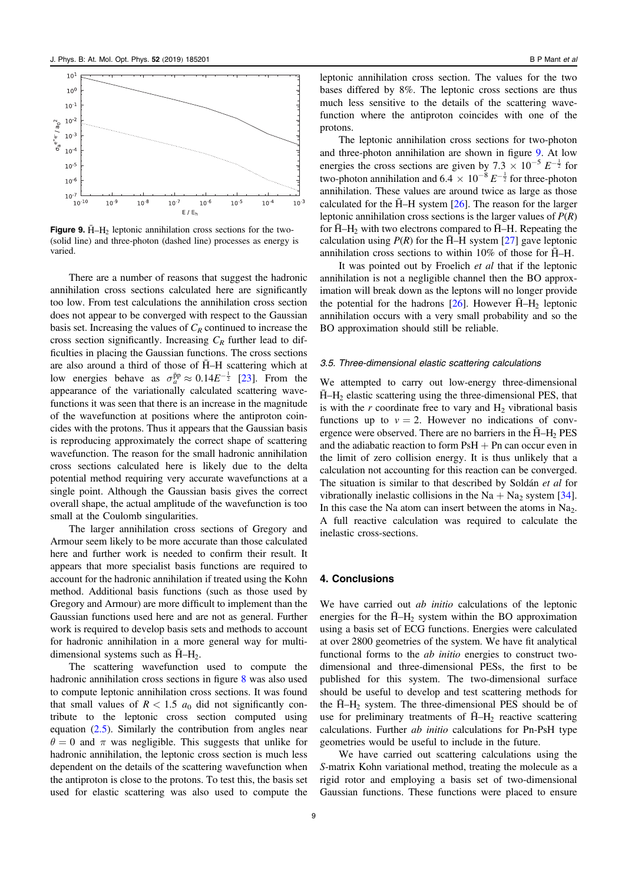<span id="page-9-0"></span>

**Figure 9.**  $\bar{H}$ –H<sub>2</sub> leptonic annihilation cross sections for the two-(solid line) and three-photon (dashed line) processes as energy is varied.

There are a number of reasons that suggest the hadronic annihilation cross sections calculated here are significantly too low. From test calculations the annihilation cross section does not appear to be converged with respect to the Gaussian basis set. Increasing the values of  $C_R$  continued to increase the cross section significantly. Increasing  $C_R$  further lead to difficulties in placing the Gaussian functions. The cross sections are also around a third of those of  $\overline{H}-H$  scattering which at low energies behave as  $\sigma_a^{\bar{p}p} \approx 0.14E^{-\frac{1}{2}}$  [[23](#page-14-0)]. From the appearance of the variationally calculated scattering wavefunctions it was seen that there is an increase in the magnitude of the wavefunction at positions where the antiproton coincides with the protons. Thus it appears that the Gaussian basis is reproducing approximately the correct shape of scattering wavefunction. The reason for the small hadronic annihilation cross sections calculated here is likely due to the delta potential method requiring very accurate wavefunctions at a single point. Although the Gaussian basis gives the correct overall shape, the actual amplitude of the wavefunction is too small at the Coulomb singularities.

The larger annihilation cross sections of Gregory and Armour seem likely to be more accurate than those calculated here and further work is needed to confirm their result. It appears that more specialist basis functions are required to account for the hadronic annihilation if treated using the Kohn method. Additional basis functions (such as those used by Gregory and Armour) are more difficult to implement than the Gaussian functions used here and are not as general. Further work is required to develop basis sets and methods to account for hadronic annihilation in a more general way for multidimensional systems such as  $\overline{H}$ –H<sub>2</sub>.

The scattering wavefunction used to compute the hadronic annihilation cross sections in figure [8](#page-8-0) was also used to compute leptonic annihilation cross sections. It was found that small values of  $R < 1.5$   $a_0$  did not significantly contribute to the leptonic cross section computed using equation ([2.5](#page-4-0)). Similarly the contribution from angles near  $\theta = 0$  and  $\pi$  was negligible. This suggests that unlike for hadronic annihilation, the leptonic cross section is much less dependent on the details of the scattering wavefunction when the antiproton is close to the protons. To test this, the basis set used for elastic scattering was also used to compute the leptonic annihilation cross section. The values for the two bases differed by 8%. The leptonic cross sections are thus much less sensitive to the details of the scattering wavefunction where the antiproton coincides with one of the protons.

The leptonic annihilation cross sections for two-photon and three-photon annihilation are shown in figure 9. At low energies the cross sections are given by  $7.3 \times 10^{-5} E^{-\frac{1}{2}}$  for two-photon annihilation and  $6.4 \times 10^{-8} E^{-\frac{1}{2}}$  for three-photon annihilation. These values are around twice as large as those calculated for the  $\bar{H}$ –H system [[26](#page-14-0)]. The reason for the larger leptonic annihilation cross sections is the larger values of  $P(R)$ for  $\bar{H}$ –H<sub>2</sub> with two electrons compared to  $\bar{H}$ –H. Repeating the calculation using  $P(R)$  for the  $\overline{H}-H$  system [[27](#page-14-0)] gave leptonic annihilation cross sections to within  $10\%$  of those for  $\overline{H}-H$ .

It was pointed out by Froelich et al that if the leptonic annihilation is not a negligible channel then the BO approximation will break down as the leptons will no longer provide the potential for the hadrons [[26](#page-14-0)]. However  $\bar{H}$ –H<sub>2</sub> leptonic annihilation occurs with a very small probability and so the BO approximation should still be reliable.

#### 3.5. Three-dimensional elastic scattering calculations

We attempted to carry out low-energy three-dimensional  $\bar{H}-H_2$  elastic scattering using the three-dimensional PES, that is with the  $r$  coordinate free to vary and  $H_2$  vibrational basis functions up to  $v = 2$ . However no indications of convergence were observed. There are no barriers in the  $\overline{H}-H_2$  PES and the adiabatic reaction to form  $\text{PsH} + \text{Pn}$  can occur even in the limit of zero collision energy. It is thus unlikely that a calculation not accounting for this reaction can be converged. The situation is similar to that described by Soldán et al for vibrationally inelastic collisions in the Na + Na<sub>2</sub> system [[34](#page-14-0)]. In this case the Na atom can insert between the atoms in  $Na<sub>2</sub>$ . A full reactive calculation was required to calculate the inelastic cross-sections.

#### 4. Conclusions

We have carried out *ab initio* calculations of the leptonic energies for the  $\bar{H}$ –H<sub>2</sub> system within the BO approximation using a basis set of ECG functions. Energies were calculated at over 2800 geometries of the system. We have fit analytical functional forms to the ab initio energies to construct twodimensional and three-dimensional PESs, the first to be published for this system. The two-dimensional surface should be useful to develop and test scattering methods for the  $\bar{H}$ – $H_2$  system. The three-dimensional PES should be of use for preliminary treatments of  $\overline{H}-H_2$  reactive scattering calculations. Further ab initio calculations for Pn-PsH type geometries would be useful to include in the future.

We have carried out scattering calculations using the S-matrix Kohn variational method, treating the molecule as a rigid rotor and employing a basis set of two-dimensional Gaussian functions. These functions were placed to ensure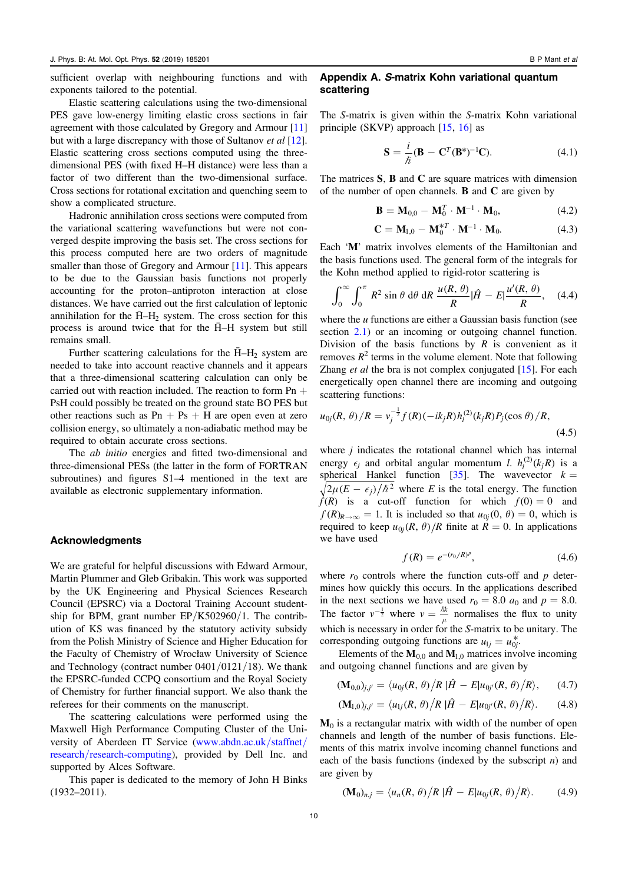<span id="page-10-0"></span>sufficient overlap with neighbouring functions and with exponents tailored to the potential.

Elastic scattering calculations using the two-dimensional PES gave low-energy limiting elastic cross sections in fair agreement with those calculated by Gregory and Armour [[11](#page-14-0)] but with a large discrepancy with those of Sultanov *et al* [[12](#page-14-0)]. Elastic scattering cross sections computed using the threedimensional PES (with fixed H–H distance) were less than a factor of two different than the two-dimensional surface. Cross sections for rotational excitation and quenching seem to show a complicated structure.

Hadronic annihilation cross sections were computed from the variational scattering wavefunctions but were not converged despite improving the basis set. The cross sections for this process computed here are two orders of magnitude smaller than those of Gregory and Armour [[11](#page-14-0)]. This appears to be due to the Gaussian basis functions not properly accounting for the proton–antiproton interaction at close distances. We have carried out the first calculation of leptonic annihilation for the  $\bar{H}$ –H<sub>2</sub> system. The cross section for this process is around twice that for the  $H-H$  system but still remains small.

Further scattering calculations for the  $\overline{H}-H_2$  system are needed to take into account reactive channels and it appears that a three-dimensional scattering calculation can only be carried out with reaction included. The reaction to form Pn + PsH could possibly be treated on the ground state BO PES but other reactions such as  $Pn + Ps + H$  are open even at zero collision energy, so ultimately a non-adiabatic method may be required to obtain accurate cross sections.

The *ab initio* energies and fitted two-dimensional and three-dimensional PESs (the latter in the form of FORTRAN subroutines) and figures S1–4 mentioned in the text are available as electronic supplementary information.

#### Acknowledgments

We are grateful for helpful discussions with Edward Armour, Martin Plummer and Gleb Gribakin. This work was supported by the UK Engineering and Physical Sciences Research Council (EPSRC) via a Doctoral Training Account studentship for BPM, grant number EP/K502960/1. The contribution of KS was financed by the statutory activity subsidy from the Polish Ministry of Science and Higher Education for the Faculty of Chemistry of Wrocław University of Science and Technology (contract number 0401/0121/18). We thank the EPSRC-funded CCPQ consortium and the Royal Society of Chemistry for further financial support. We also thank the referees for their comments on the manuscript.

The scattering calculations were performed using the Maxwell High Performance Computing Cluster of the University of Aberdeen IT Service ([www.abdn.ac.uk](http://www.abdn.ac.uk/staffnet/research/research-computing)/staffnet/ research/[research-computing](http://www.abdn.ac.uk/staffnet/research/research-computing)), provided by Dell Inc. and supported by Alces Software.

This paper is dedicated to the memory of John H Binks (1932–2011).

#### Appendix A. S-matrix Kohn variational quantum scattering

The S-matrix is given within the S-matrix Kohn variational principle (SKVP) approach [[15,](#page-14-0) [16](#page-14-0)] as

$$
\mathbf{S} = \frac{i}{\hbar} (\mathbf{B} - \mathbf{C}^T (\mathbf{B}^*)^{-1} \mathbf{C}). \tag{4.1}
$$

The matrices **S**, **B** and C are square matrices with dimension of the number of open channels. **B** and  $C$  are given by

$$
\mathbf{B} = \mathbf{M}_{0,0} - \mathbf{M}_0^T \cdot \mathbf{M}^{-1} \cdot \mathbf{M}_0, \tag{4.2}
$$

$$
\mathbf{C} = \mathbf{M}_{1,0} - \mathbf{M}_0^{*T} \cdot \mathbf{M}^{-1} \cdot \mathbf{M}_0. \tag{4.3}
$$

Each 'M' matrix involves elements of the Hamiltonian and the basis functions used. The general form of the integrals for the Kohn method applied to rigid-rotor scattering is

$$
\int_0^\infty \int_0^\pi R^2 \sin \theta \, d\theta \, dR \, \frac{u(R, \theta)}{R} |\hat{H} - E| \frac{u'(R, \theta)}{R}, \quad (4.4)
$$

where the  $u$  functions are either a Gaussian basis function (see section [2.1](#page-2-0)) or an incoming or outgoing channel function. Division of the basis functions by  $R$  is convenient as it removes  $R^2$  terms in the volume element. Note that following Zhang *et al* the bra is not complex conjugated [[15](#page-14-0)]. For each energetically open channel there are incoming and outgoing scattering functions:

$$
u_{0j}(R,\,\theta)/R = v_j^{-\frac{1}{2}}f(R)(-ik_jR)h_l^{(2)}(k_jR)P_j(\cos\theta)/R,\tag{4.5}
$$

where  $j$  indicates the rotational channel which has internal energy  $\epsilon_j$  and orbital angular momentum *l.*  $h_l^{(2)}(k_j R)$  is a spherical Hankel function [[35](#page-14-0)]. The wavevector  $k =$  $\frac{2\mu(E - \epsilon_j)}{\hbar^2}$  where *E* is the total energy. The function  $f(R)$  is a cut-off function for which  $f(0) = 0$  and  $f(R)_{R\to\infty} = 1$ . It is included so that  $u_{0i}(0, \theta) = 0$ , which is required to keep  $u_{0j}(R, \theta)/R$  finite at  $R = 0$ . In applications we have used

$$
f(R) = e^{-(r_0/R)^p},
$$
\n(4.6)

where  $r_0$  controls where the function cuts-off and p determines how quickly this occurs. In the applications described in the next sections we have used  $r_0 = 8.0$  and  $p = 8.0$ . The factor  $v^{-\frac{1}{2}}$  where  $v = \frac{\hbar k}{\mu}$  normalises the flux to unity which is necessary in order for the S-matrix to be unitary. The corresponding outgoing functions are  $u_{1j} = u_{0j}^*$ .

Elements of the  $M<sub>0.0</sub>$  and  $M<sub>1.0</sub>$  matrices involve incoming and outgoing channel functions and are given by

$$
(\mathbf{M}_{0,0})_{j,j'} = \langle u_{0j}(R,\,\theta) \big/ R \,|\hat{H} - E|u_{0j'}(R,\,\theta) \big/ R \rangle, \qquad (4.7)
$$

$$
(\mathbf{M}_{1,0})_{j,j'} = \langle u_{1j}(R,\,\theta) \big/ R \,|\hat{H} - E|u_{0j'}(R,\,\theta) \big/ R \rangle. \tag{4.8}
$$

 $M<sub>0</sub>$  is a rectangular matrix with width of the number of open channels and length of the number of basis functions. Elements of this matrix involve incoming channel functions and each of the basis functions (indexed by the subscript  $n$ ) and are given by

$$
(\mathbf{M}_0)_{n,j} = \langle u_n(R,\,\theta) \big/ R \,|\hat{H} - E|u_{0j}(R,\,\theta) \big/ R \rangle. \tag{4.9}
$$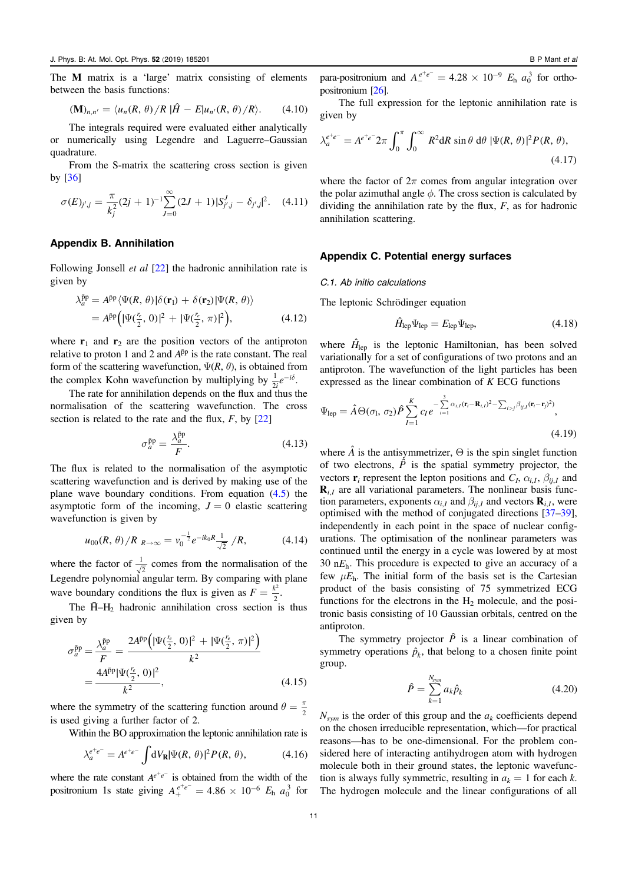<span id="page-11-0"></span>The M matrix is a 'large' matrix consisting of elements between the basis functions:

$$
(\mathbf{M})_{n,n'} = \langle u_n(R,\,\theta)/R\,|\hat{H}-E|u_{n'}(R,\,\theta)/R\rangle. \qquad (4.10)
$$

The integrals required were evaluated either analytically or numerically using Legendre and Laguerre–Gaussian quadrature.

From the S-matrix the scattering cross section is given by [[36](#page-14-0)]

$$
\sigma(E)_{j',j} = \frac{\pi}{k_j^2} (2j+1)^{-1} \sum_{J=0}^{\infty} (2J+1) |S_{j',j}^J - \delta_{j',j}|^2.
$$
 (4.11)

#### Appendix B. Annihilation

Following Jonsell et al [[22](#page-14-0)] the hadronic annihilation rate is given by

$$
\lambda_a^{\bar{p}p} = A^{\bar{p}p} \langle \Psi(R, \theta) | \delta(\mathbf{r}_1) + \delta(\mathbf{r}_2) | \Psi(R, \theta) \rangle \n= A^{\bar{p}p} \Big( |\Psi(\frac{r_e}{2}, 0)|^2 + |\Psi(\frac{r_e}{2}, \pi)|^2 \Big),
$$
\n(4.12)

where  $r_1$  and  $r_2$  are the position vectors of the antiproton relative to proton 1 and 2 and  $A^{p}$ <sup>p</sup> is the rate constant. The real form of the scattering wavefunction,  $\Psi(R, \theta)$ , is obtained from the complex Kohn wavefunction by multiplying by  $\frac{1}{2i}e^{-i\delta}$  $rac{1}{2i}e^{-i\delta}$ .

The rate for annihilation depends on the flux and thus the normalisation of the scattering wavefunction. The cross section is related to the rate and the flux,  $F$ , by  $[22]$  $[22]$  $[22]$ 

$$
\sigma_a^{\bar{p}p} = \frac{\lambda_a^{\bar{p}p}}{F}.\tag{4.13}
$$

The flux is related to the normalisation of the asymptotic scattering wavefunction and is derived by making use of the plane wave boundary conditions. From equation  $(4.5)$  $(4.5)$  $(4.5)$  the asymptotic form of the incoming,  $J = 0$  elastic scattering wavefunction is given by

$$
u_{00}(R,\,\theta)/R_{R\to\infty} = v_0^{-\frac{1}{2}}e^{-ik_0R}\frac{1}{\sqrt{2}}\,/R,\tag{4.14}
$$

where the factor of  $\frac{1}{\sqrt{2}}$  comes from the normalisation of the Legendre polynomial angular term. By comparing with plane wave boundary conditions the flux is given as  $F = \frac{k^2}{2}$  $\frac{2}{2}$ .

The  $\bar{H}$ –H<sub>2</sub> hadronic annihilation cross section is thus given by

$$
\sigma_a^{\bar{p}p} = \frac{\lambda_a^{\bar{p}p}}{F} = \frac{2A^{\bar{p}p} \left( |\Psi(\frac{r_c}{2}, 0)|^2 + |\Psi(\frac{r_c}{2}, \pi)|^2 \right)}{k^2} = \frac{4A^{\bar{p}p} |\Psi(\frac{r_c}{2}, 0)|^2}{k^2},
$$
\n(4.15)

where the symmetry of the scattering function around  $\theta = \frac{\pi}{2}$ is used giving a further factor of 2.

Within the BO approximation the leptonic annihilation rate is

$$
\lambda_a^{e^+e^-} = A^{e^+e^-} \int dV_{\mathbf{R}} |\Psi(R, \theta)|^2 P(R, \theta), \tag{4.16}
$$

where the rate constant  $A^{e^+e^-}$  is obtained from the width of the positronium 1s state giving  $A_{+}^{e^{+}e^{-}} = 4.86 \times 10^{-6} E_{h} a_{0}^{3}$  for

para-positronium and  $A_{-}^{e^+e^-} = 4.28 \times 10^{-9} E_h a_0^3$  for orthopositronium [[26](#page-14-0)].

The full expression for the leptonic annihilation rate is given by

$$
\lambda_a^{e^+e^-} = A^{e^+e^-} 2\pi \int_0^{\pi} \int_0^{\infty} R^2 dR \sin \theta \ d\theta \ |\Psi(R, \theta)|^2 P(R, \theta),\tag{4.17}
$$

where the factor of  $2\pi$  comes from angular integration over the polar azimuthal angle  $\phi$ . The cross section is calculated by dividing the annihilation rate by the flux,  $F$ , as for hadronic annihilation scattering.

#### Appendix C. Potential energy surfaces

#### C.1. Ab initio calculations

The leptonic Schrödinger equation

$$
\hat{H}_{\text{lep}}\Psi_{\text{lep}} = E_{\text{lep}}\Psi_{\text{lep}},\tag{4.18}
$$

where  $\hat{H}_{\text{lep}}$  is the leptonic Hamiltonian, has been solved variationally for a set of configurations of two protons and an antiproton. The wavefunction of the light particles has been expressed as the linear combination of K ECG functions

$$
\Psi_{\text{lep}} = \hat{A} \Theta(\sigma_1, \sigma_2) \hat{P} \sum_{I=1}^{K} c_I e^{-\sum_{i=1}^{3} \alpha_{i,I} (\mathbf{r}_i - \mathbf{R}_{i,I})^2 - \sum_{i>j} \beta_{ij,I} (\mathbf{r}_i - \mathbf{r}_j)^2},
$$
\n(4.19)

where  $\hat{A}$  is the antisymmetrizer,  $\Theta$  is the spin singlet function of two electrons,  $\hat{P}$  is the spatial symmetry projector, the vectors  $\mathbf{r}_i$  represent the lepton positions and  $C_I$ ,  $\alpha_{i,I}$ ,  $\beta_{ii,I}$  and  $\mathbf{R}_{i}$  are all variational parameters. The nonlinear basis function parameters, exponents  $\alpha_{i,I}$  and  $\beta_{ij,I}$  and vectors  $\mathbf{R}_{i,I}$ , were optimised with the method of conjugated directions [[37](#page-14-0)–[39](#page-14-0)], independently in each point in the space of nuclear configurations. The optimisation of the nonlinear parameters was continued until the energy in a cycle was lowered by at most 30 n*E*h. This procedure is expected to give an accuracy of a few  $\mu E_h$ . The initial form of the basis set is the Cartesian product of the basis consisting of 75 symmetrized ECG functions for the electrons in the  $H_2$  molecule, and the positronic basis consisting of 10 Gaussian orbitals, centred on the antiproton.

The symmetry projector  $\hat{P}$  is a linear combination of symmetry operations  $\hat{p}_k$ , that belong to a chosen finite point group.

$$
\hat{P} = \sum_{k=1}^{N_{sym}} a_k \hat{p}_k \tag{4.20}
$$

 $N_{sym}$  is the order of this group and the  $a_k$  coefficients depend on the chosen irreducible representation, which—for practical reasons—has to be one-dimensional. For the problem considered here of interacting antihydrogen atom with hydrogen molecule both in their ground states, the leptonic wavefunction is always fully symmetric, resulting in  $a_k = 1$  for each k. The hydrogen molecule and the linear configurations of all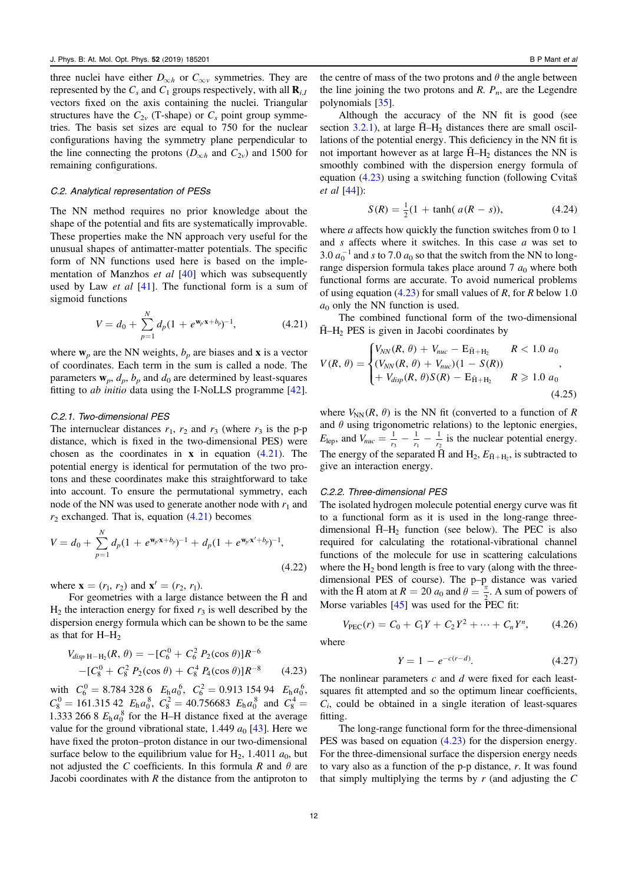<span id="page-12-0"></span>three nuclei have either  $D_{\infty h}$  or  $C_{\infty v}$  symmetries. They are represented by the  $C_s$  and  $C_1$  groups respectively, with all  $\mathbf{R}_{i,I}$ vectors fixed on the axis containing the nuclei. Triangular structures have the  $C_{2v}$  (T-shape) or  $C_s$  point group symmetries. The basis set sizes are equal to 750 for the nuclear configurations having the symmetry plane perpendicular to the line connecting the protons ( $D_{\infty h}$  and  $C_{2v}$ ) and 1500 for remaining configurations.

#### C.2. Analytical representation of PESs

The NN method requires no prior knowledge about the shape of the potential and fits are systematically improvable. These properties make the NN approach very useful for the unusual shapes of antimatter-matter potentials. The specific form of NN functions used here is based on the implementation of Manzhos *et al* [[40](#page-14-0)] which was subsequently used by Law  $et$  al  $[41]$  $[41]$  $[41]$ . The functional form is a sum of sigmoid functions

$$
V = d_0 + \sum_{p=1}^{N} d_p (1 + e^{\mathbf{w}_p \cdot \mathbf{x} + b_p})^{-1},
$$
 (4.21)

where  $w_p$  are the NN weights,  $b_p$  are biases and **x** is a vector of coordinates. Each term in the sum is called a node. The parameters  $\mathbf{w}_p$ ,  $d_p$ ,  $b_p$  and  $d_0$  are determined by least-squares fitting to ab initio data using the I-NoLLS programme [[42](#page-14-0)].

#### C.2.1. Two-dimensional PES

The internuclear distances  $r_1$ ,  $r_2$  and  $r_3$  (where  $r_3$  is the p-p distance, which is fixed in the two-dimensional PES) were chosen as the coordinates in  $x$  in equation (4.21). The potential energy is identical for permutation of the two protons and these coordinates make this straightforward to take into account. To ensure the permutational symmetry, each node of the NN was used to generate another node with  $r_1$  and  $r_2$  exchanged. That is, equation  $(4.21)$  becomes

$$
V = d_0 + \sum_{p=1}^{N} d_p (1 + e^{\mathbf{w}_p \cdot \mathbf{x} + b_p})^{-1} + d_p (1 + e^{\mathbf{w}_p \cdot \mathbf{x}' + b_p})^{-1},
$$
\n(4.22)

where  $\mathbf{x} = (r_1, r_2)$  and  $\mathbf{x}' = (r_2, r_1)$ .

For geometries with a large distance between the  $\bar{H}$  and  $H_2$  the interaction energy for fixed  $r_3$  is well described by the dispersion energy formula which can be shown to be the same as that for H–H2

$$
V_{disp\ H-H_2}(R,\ \theta) = -[C_6^0 + C_6^2 \ P_2(\cos\theta)]R^{-6}
$$

$$
-[C_8^0 + C_8^2 \ P_2(\cos\theta) + C_8^4 \ P_4(\cos\theta)]R^{-8}
$$
(4.23)

with  $C_6^0 = 8.7843286 E_h a_0^6$ ,  $C_6^2 = 0.91315494 E_h a_0^6$ ,  $C_8^0 = 161.315\ 42$   $E_h a_0^8$ ,  $C_8^2 = 40.756683$   $E_h a_0^8$  and  $C_8^4 =$ 1.333 266 8  $E_h a_0^8$  for the H–H distance fixed at the average value for the ground vibrational state, 1.449  $a_0$  [[43](#page-14-0)]. Here we have fixed the proton–proton distance in our two-dimensional surface below to the equilibrium value for  $H_2$ , 1.4011  $a_0$ , but not adjusted the C coefficients. In this formula R and  $\theta$  are Jacobi coordinates with  $R$  the distance from the antiproton to

the centre of mass of the two protons and  $\theta$  the angle between the line joining the two protons and R.  $P_n$ , are the Legendre polynomials [[35](#page-14-0)].

Although the accuracy of the NN fit is good (see section [3.2.1](#page-5-0)), at large  $\bar{H}$ –H<sub>2</sub> distances there are small oscillations of the potential energy. This deficiency in the NN fit is not important however as at large  $\overline{H}-H_2$  distances the NN is smoothly combined with the dispersion energy formula of equation (4.23) using a switching function (following Cvitaš et al [[44](#page-14-0)]):

$$
S(R) = \frac{1}{2}(1 + \tanh(a(R - s)), \tag{4.24}
$$

where  $a$  affects how quickly the function switches from 0 to 1 and  $s$  affects where it switches. In this case  $a$  was set to 3.0  $a_0^{-1}$  and s to 7.0  $a_0$  so that the switch from the NN to longrange dispersion formula takes place around  $7 a<sub>0</sub>$  where both functional forms are accurate. To avoid numerical problems of using equation (4.23) for small values of R, for R below 1.0  $a_0$  only the NN function is used.

The combined functional form of the two-dimensional  $\bar{H}$ – $H_2$  PES is given in Jacobi coordinates by

$$
V(R, \theta) = \begin{cases} V_{NN}(R, \theta) + V_{nuc} - \mathbf{E}_{\bar{\mathbf{H}} + \mathbf{H}_2} & R < 1.0 \ a_0 \\ (V_{NN}(R, \theta) + V_{nuc})(1 - S(R)) & , \\ + V_{disp}(R, \theta)S(R) - \mathbf{E}_{\bar{\mathbf{H}} + \mathbf{H}_2} & R \geq 1.0 \ a_0 \\ (4.25) \end{cases}
$$

where  $V_{NN}(R, \theta)$  is the NN fit (converted to a function of R and  $\theta$  using trigonometric relations) to the leptonic energies, *E*<sub>lep</sub>, and  $V_{nuc} = \frac{1}{r_3} - \frac{1}{r_1} - \frac{1}{r_2}$  $\frac{1}{r_3} - \frac{1}{r_1} - \frac{1}{r_2}$  is the nuclear potential energy. The energy of the separated  $\bar{H}$  and  $H_2$ ,  $E_{\bar{H}+H_2}$ , is subtracted to give an interaction energy.

#### C.2.2. Three-dimensional PES

The isolated hydrogen molecule potential energy curve was fit to a functional form as it is used in the long-range threedimensional  $\overline{H}-H_2$  function (see below). The PEC is also required for calculating the rotational-vibrational channel functions of the molecule for use in scattering calculations where the  $H_2$  bond length is free to vary (along with the threedimensional PES of course). The p–p distance was varied with the  $\bar{H}$  atom at  $R = 20 a_0$  and  $\theta = \frac{1}{2}$ . A sum of powers of Morse variables [[45](#page-14-0)] was used for the PEC fit:

$$
V_{\text{PEC}}(r) = C_0 + C_1 Y + C_2 Y^2 + \dots + C_n Y^n, \qquad (4.26)
$$

where

$$
Y = 1 - e^{-c(r - d)}.\t(4.27)
$$

The nonlinear parameters  $c$  and  $d$  were fixed for each leastsquares fit attempted and so the optimum linear coefficients,  $C_i$ , could be obtained in a single iteration of least-squares fitting.

The long-range functional form for the three-dimensional PES was based on equation (4.23) for the dispersion energy. For the three-dimensional surface the dispersion energy needs to vary also as a function of the p-p distance, r. It was found that simply multiplying the terms by  $r$  (and adjusting the  $C$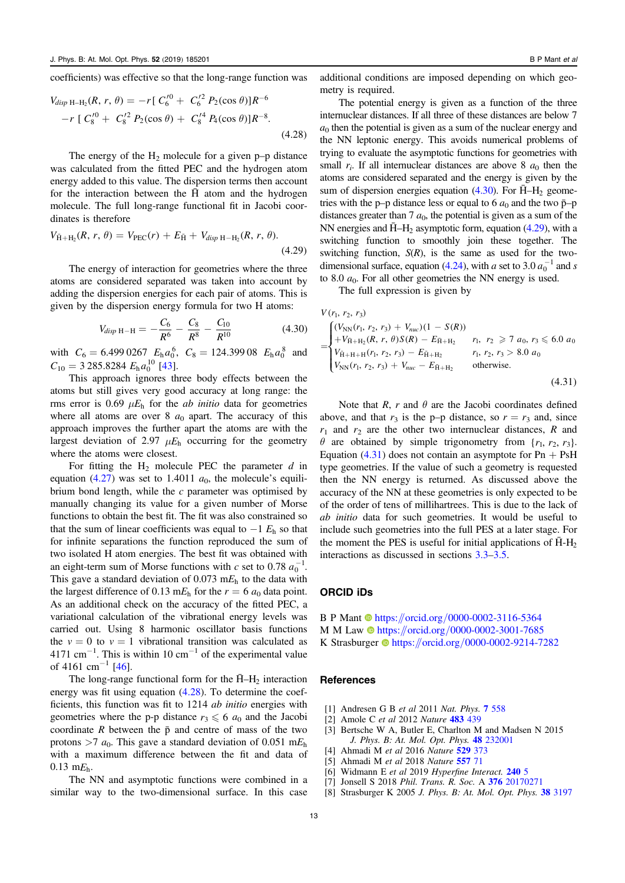<span id="page-13-0"></span>coefficients) was effective so that the long-range function was

$$
V_{disp\ H-H_2}(R, r, \theta) = -r [ C_6^{\prime 0} + C_6^{\prime 2} P_2(\cos \theta) ] R^{-6}
$$
  
-r [ C\_8^{\prime 0} + C\_8^{\prime 2} P\_2(\cos \theta) + C\_8^{\prime 4} P\_4(\cos \theta) ] R^{-8}. (4.28)

The energy of the  $H_2$  molecule for a given p–p distance was calculated from the fitted PEC and the hydrogen atom energy added to this value. The dispersion terms then account for the interaction between the  $\bar{H}$  atom and the hydrogen molecule. The full long-range functional fit in Jacobi coordinates is therefore

$$
V_{\tilde{H}+H_2}(R, r, \theta) = V_{\text{PEC}}(r) + E_{\tilde{H}} + V_{disp\ H-H_2}(R, r, \theta).
$$
\n(4.29)

The energy of interaction for geometries where the three atoms are considered separated was taken into account by adding the dispersion energies for each pair of atoms. This is given by the dispersion energy formula for two H atoms:

$$
V_{disp\ H-H} = -\frac{C_6}{R^6} - \frac{C_8}{R^8} - \frac{C_{10}}{R^{10}} \tag{4.30}
$$

with  $C_6 = 6.499\,0267$   $E_h a_0^6$ ,  $C_8 = 124.399\,08$   $E_h a_0^8$  and  $C_{10} = 3\,285.8284 E_h a_0^{10}$  [[43](#page-14-0)].

This approach ignores three body effects between the atoms but still gives very good accuracy at long range: the rms error is  $0.69 \mu E_h$  for the *ab initio* data for geometries where all atoms are over 8  $a_0$  apart. The accuracy of this approach improves the further apart the atoms are with the largest deviation of 2.97  $\mu E_h$  occurring for the geometry where the atoms were closest.

For fitting the  $H_2$  molecule PEC the parameter d in equation ([4.27](#page-12-0)) was set to 1.4011  $a_0$ , the molecule's equilibrium bond length, while the  $c$  parameter was optimised by manually changing its value for a given number of Morse functions to obtain the best fit. The fit was also constrained so that the sum of linear coefficients was equal to  $-1$   $E_h$  so that for infinite separations the function reproduced the sum of two isolated H atom energies. The best fit was obtained with an eight-term sum of Morse functions with c set to 0.78  $a_0^{-1}$ . This gave a standard deviation of 0.073 m*E*<sup>h</sup> to the data with the largest difference of 0.13 m $E_h$  for the  $r = 6 a_0$  data point. As an additional check on the accuracy of the fitted PEC, a variational calculation of the vibrational energy levels was carried out. Using 8 harmonic oscillator basis functions the  $v = 0$  to  $v = 1$  vibrational transition was calculated as 4171 cm<sup>-1</sup>. This is within 10 cm<sup>-1</sup> of the experimental value of 4161 cm<sup>-1</sup> [[46](#page-14-0)].

The long-range functional form for the  $\overline{H}-H_2$  interaction energy was fit using equation (4.28). To determine the coefficients, this function was fit to 1214 ab initio energies with geometries where the p-p distance  $r_3 \leq 6$  a<sub>0</sub> and the Jacobi coordinate  $R$  between the  $\bar{p}$  and centre of mass of the two protons  $>7$  a<sub>0</sub>. This gave a standard deviation of 0.051 m $E<sub>h</sub>$ with a maximum difference between the fit and data of 0.13 m*E*h.

The NN and asymptotic functions were combined in a similar way to the two-dimensional surface. In this case additional conditions are imposed depending on which geometry is required.

The potential energy is given as a function of the three internuclear distances. If all three of these distances are below 7  $a<sub>0</sub>$  then the potential is given as a sum of the nuclear energy and the NN leptonic energy. This avoids numerical problems of trying to evaluate the asymptotic functions for geometries with small  $r_i$ . If all internuclear distances are above 8  $a_0$  then the atoms are considered separated and the energy is given by the sum of dispersion energies equation  $(4.30)$ . For  $\overline{H}-H_2$  geometries with the p–p distance less or equal to 6  $a_0$  and the two  $\bar{p}$ –p distances greater than  $7 a<sub>0</sub>$ , the potential is given as a sum of the NN energies and  $\bar{H}$ –H<sub>2</sub> asymptotic form, equation (4.29), with a switching function to smoothly join these together. The switching function,  $S(R)$ , is the same as used for the two-dimensional surface, equation ([4.24](#page-12-0)), with a set to 3.0  $a_0^{-1}$  and s to 8.0  $a_0$ . For all other geometries the NN energy is used.

The full expression is given by

$$
V(r_1, r_2, r_3)
$$
\n
$$
= \begin{cases}\n(V_{\text{NN}}(r_1, r_2, r_3) + V_{\text{nuc}})(1 - S(R)) \\
+ V_{\text{H} + \text{H}_2}(R, r, \theta)S(R) - E_{\text{H} + \text{H}_2} & r_1, r_2 \ge 7 a_0, r_3 \le 6.0 a_0 \\
V_{\text{H} + \text{H} + \text{H}}(r_1, r_2, r_3) - E_{\text{H} + \text{H}_2} & r_1, r_2, r_3 > 8.0 a_0 \\
V_{\text{NN}}(r_1, r_2, r_3) + V_{\text{nuc}} - E_{\text{H} + \text{H}_2} & \text{otherwise.} \n\end{cases}
$$
\n
$$
(4.31)
$$

Note that R, r and  $\theta$  are the Jacobi coordinates defined above, and that  $r_3$  is the p–p distance, so  $r = r_3$  and, since  $r_1$  and  $r_2$  are the other two internuclear distances, R and  $\theta$  are obtained by simple trigonometry from  $\{r_1, r_2, r_3\}.$ Equation (4.31) does not contain an asymptote for  $\text{Pn} + \text{PsH}$ type geometries. If the value of such a geometry is requested then the NN energy is returned. As discussed above the accuracy of the NN at these geometries is only expected to be of the order of tens of millihartrees. This is due to the lack of ab initio data for such geometries. It would be useful to include such geometries into the full PES at a later stage. For the moment the PES is useful for initial applications of  $\overline{H}$ -H<sub>2</sub> interactions as discussed in sections [3.3](#page-6-0)–[3.5.](#page-9-0)

#### ORCID iDs

B P Mant [https:](https://orcid.org/0000-0002-3116-5364)//orcid.org/[0000-0002-3116-5364](https://orcid.org/0000-0002-3116-5364) M M Law C[https:](https://orcid.org/0000-0002-3001-7685)//orcid.org/[0000-0002-3001-7685](https://orcid.org/0000-0002-3001-7685) K Strasburger **to** [https:](https://orcid.org/0000-0002-9214-7282)//orcid.org/[0000-0002-9214-7282](https://orcid.org/0000-0002-9214-7282)

#### References

- [1] Andresen G B et al 2011 Nat. Phys. **7 [558](https://doi.org/10.1038/nphys2025)**
- [2] Amole C et al 2012 Nature 483 [439](https://doi.org/10.1038/nature10942)
- [3] Bertsche W A, Butler E, Charlton M and Madsen N 2015 J. Phys. B: At. Mol. Opt. Phys. 48 [232001](https://doi.org/10.1088/0953-4075/48/23/232001)
- [4] Ahmadi M et al 2016 Nature 529 [373](https://doi.org/10.1038/nature16491)
- [5] Ahmadi M et al 2018 Nature [557](https://doi.org/10.1038/s41586-018-0017-2) 71 [6] Widmann E et al 2019 Hyperfine Interact. [240](https://doi.org/10.1007/s10751-018-1536-9) 5
- [7] Jonsell S 2018 Phil. Trans. R. Soc. A 376 [20170271](https://doi.org/10.1098/rsta.2017.0271)
- [8] Strasburger K 2005 J. Phys. B: At. Mol. Opt. Phys. 38 [3197](https://doi.org/10.1088/0953-4075/38/17/010)